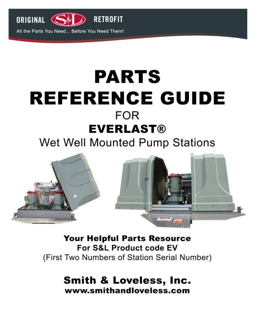

# **PARTS REFERENCE GUIDE FOR EVERLAST®**

# Wet Well Mounted Pump Stations



**Your Helpful Parts Resource** For S&L Product code EV (First Two Numbers of Station Serial Number)

> **Smith & Loveless, Inc.** www.smithandloveless.com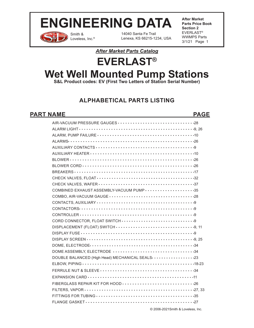Smith & Loveless, Inc.® 14040 Santa Fe Trail Lenexa, KS 66215-1234, USA **After Market Parts Price Book Section 2** EVERLAST® WWMPS Parts 3/1/21 Page 1

### *After Market Parts Catalog*

# **EVERLAST® Wet Well Mounted Pump Stations**

**S&L Product codes: EV (First Two Letters of Station Serial Number)**

# **ALPHABETICAL PARTS LISTING**

### PART NAME PAGE

| COMBINED EXHAUST ASSEMBLY-VACUUM PUMP 35                           |
|--------------------------------------------------------------------|
|                                                                    |
|                                                                    |
|                                                                    |
|                                                                    |
|                                                                    |
|                                                                    |
|                                                                    |
|                                                                    |
|                                                                    |
| DOME ASSEMBLY, ELECTRODE 34                                        |
| DOUBLE BALANCED (High Head) MECHANICAL SEALS ···················23 |
|                                                                    |
|                                                                    |
|                                                                    |
|                                                                    |
|                                                                    |
|                                                                    |
|                                                                    |
|                                                                    |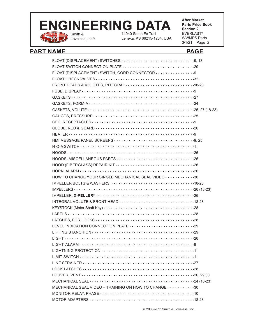### Smith & Loveless, Inc.® 14040 Santa Fe Trail **ENGINEERING DATA**

Lenexa, KS 66215-1234, USA

**After Market Parts Price Book Section 2** EVERLAST® WWMPS Parts 3/1/21 Page 2

### PART NAME PAGE

| FRONT HEADS & VOLUTES, INTEGRAL 48-23                |
|------------------------------------------------------|
|                                                      |
|                                                      |
|                                                      |
|                                                      |
|                                                      |
|                                                      |
|                                                      |
|                                                      |
|                                                      |
|                                                      |
|                                                      |
|                                                      |
|                                                      |
|                                                      |
| HOW TO CHANGE YOUR SINGLE MECHANICAL SEAL VIDEO 30   |
|                                                      |
|                                                      |
|                                                      |
| INTEGRAL VOLUTE & FRONT HEAD 18-23                   |
|                                                      |
|                                                      |
|                                                      |
|                                                      |
|                                                      |
|                                                      |
| $\cdot$ $\cdot$ $\cdot$                              |
|                                                      |
|                                                      |
|                                                      |
|                                                      |
|                                                      |
|                                                      |
| MECHANICAL SEAL VIDEO - TRAINING ON HOW TO CHANGE 30 |
|                                                      |
|                                                      |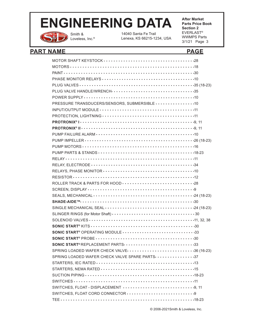

Smith & Loveless, Inc.® 14040 Santa Fe Trail Lenexa, KS 66215-1234, USA **After Market Parts Price Book Section 2** EVERLAST® WWMPS Parts 3/1/21 Page 3

# PART NAME PAGE

| PLUG VALVE HANDLE/WRENCH ·································· 35 |
|----------------------------------------------------------------|
|                                                                |
| PRESSURE TRANSDUCERS/SENSORS, SUBMERSIBLE 10                   |
|                                                                |
|                                                                |
|                                                                |
|                                                                |
|                                                                |
|                                                                |
|                                                                |
|                                                                |
|                                                                |
|                                                                |
|                                                                |
|                                                                |
|                                                                |
|                                                                |
|                                                                |
|                                                                |
|                                                                |
|                                                                |
|                                                                |
|                                                                |
| SONIC START <sup>®</sup> OPERATING MODULE 33                   |
|                                                                |
| SONIC START®REPLACEMENT PARTS33                                |
| SPRING LOADED WAFER CHECK VALVE 36 (16-23)                     |
| SPRING LOADED WAFER CHECK VALVE SPARE PARTS 37                 |
|                                                                |
|                                                                |
|                                                                |
|                                                                |
|                                                                |
|                                                                |
|                                                                |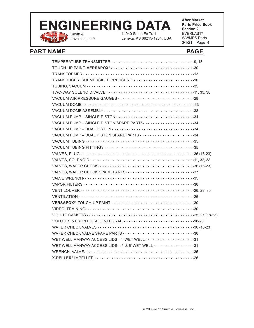

14040 Santa Fe Trail

Lenexa, KS 66215-1234, USA

**After Market Parts Price Book Section 2** EVERLAST® WWMPS Parts 3/1/21 Page 4

## PART NAME PAGE

| TRANSDUCER, SUBMERSIBLE PRESSURE 10                            |
|----------------------------------------------------------------|
|                                                                |
|                                                                |
| VACUUM-AIR PRESSURE GAUGES 28                                  |
|                                                                |
|                                                                |
| VACUUM PUMP - SINGLE PISTON 34                                 |
| VACUUM PUMP - SINGLE PISTON SPARE PARTS ····················34 |
|                                                                |
| VACUUM PUMP - DUAL PISTON SPARE PARTS 34                       |
|                                                                |
|                                                                |
|                                                                |
|                                                                |
|                                                                |
| VALVES, WAFER CHECK SPARE PARTS 37                             |
|                                                                |
|                                                                |
|                                                                |
|                                                                |
|                                                                |
|                                                                |
|                                                                |
| VOLUTES & FRONT HEAD, INTEGRAL 18-23                           |
|                                                                |
|                                                                |
| WET WELL MANWAY ACCESS LIDS - 4' WET WELL 31                   |
| WET WELL MANWAY ACCESS LIDS - 5' & 6' WET WELL 31              |
|                                                                |
|                                                                |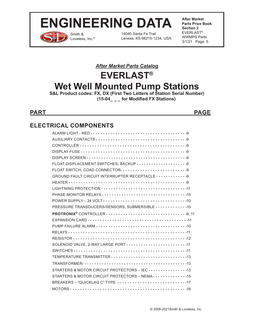

Smith & Loveless, Inc.®

14040 Santa Fe Trail Lenexa, KS 66215-1234, USA **After Market Parts Price Book Section 2** EVERLAST® WWMPS Parts 3/1/21 Page 5

# *After Market Parts Catalog*

# **EVERLAST® Wet Well Mounted Pump Stations**

**S&L Product codes: FX, DX (First Two Letters of Station Serial Number) (15-04\_ \_ \_ for Modified FX Stations)**

**PART PAGE**

# **ELECTRICAL COMPONENTS**

| PRESSURE TRANSDUCERS/SENSORS, SUBMERSIBLE · · · · · · · · · · · · · · 10  |
|---------------------------------------------------------------------------|
|                                                                           |
|                                                                           |
|                                                                           |
|                                                                           |
|                                                                           |
|                                                                           |
| SOLENOID VALVE, 2-WAY LARGE PORT 11                                       |
|                                                                           |
|                                                                           |
|                                                                           |
|                                                                           |
| STARTERS & MOTOR CIRCUIT PROTECTORS - NEMA · · · · · · · · · · · · · · 15 |
| BREAKERS - "QUICKLAG C" TYPE 17                                           |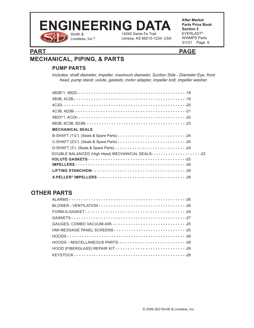

Lenexa, KS 66215-1234, USA

### **PART PAGE**

# **MECHANICAL, PIPING, & PARTS**

### **PUMP PARTS**

*Includes: shaft diameter, impeller, maximum diameter, Suction Side - Diameter Eye, front head, pump stand, volute, gaskets, motor adapter, impeller bolt, impeller washer.*

| <b>MECHANICAL SEALS</b>                                              |
|----------------------------------------------------------------------|
| B-SHAFT (1%") (Seals & Spare Parts) 24                               |
| C-SHAFT (2 <sup>1</sup> / <sub>8</sub> ") (Seals & Spare Parts) 24   |
|                                                                      |
| DOUBLE BALANCED (High Head) MECHANICAL SEALS ·····················23 |
|                                                                      |
|                                                                      |
|                                                                      |
|                                                                      |

# **OTHER PARTS**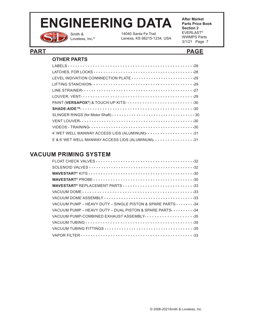

Smith & Loveless, Inc.® 14040 Santa Fe Trail Lenexa, KS 66215-1234, USA **After Market Parts Price Book Section 2** EVERLAST® WWMPS Parts 3/1/21 Page 7

### **PART PAGE**

### **OTHER PARTS**

| PAINT (VERSAPOX®) & TOUCH-UP KITS 30                            |
|-----------------------------------------------------------------|
|                                                                 |
|                                                                 |
|                                                                 |
|                                                                 |
| 4' WET WELL MANWAY ACCESS LIDS (ALUMINUM) ···················31 |
| 5' & 6' WET WELL MANWAY ACCESS LIDS (ALUMINUM) $\cdots$ 31      |

## **VACUUM PRIMING SYSTEM**

| WAVESTART <sup>®</sup> REPLACEMENT PARTS 33                               |
|---------------------------------------------------------------------------|
|                                                                           |
|                                                                           |
| VACUUM PUMP – HEAVY DUTY – SINGLE PISTON & SPARE PARTS $\cdots \cdots$ 34 |
| VACUUM PUMP - HEAVY DUTY - DUAL PISTON & SPARE PARTS · · · · · · · · · 34 |
| VACUUM PUMP-COMBINED EXHAUST ASSEMBLY - 35                                |
|                                                                           |
|                                                                           |
|                                                                           |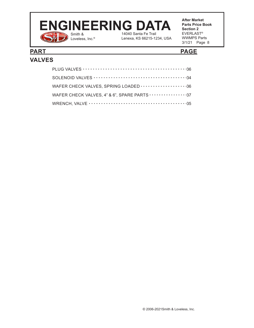### Smith & 14040 Santa Fe Trail **ENGINEERING DATA**

Loveless, Inc.®

**After Market Parts Price Book Section 2** EVERLAST® WWMPS Parts 3/1/21 Page 8

## **PART PAGE VALVES**

# PLUG VALVES  $\cdots$   $\cdots$   $\cdots$   $\cdots$   $\cdots$   $\cdots$   $\cdots$   $\cdots$   $\cdots$   $\cdots$   $\cdots$   $\cdots$   $\cdots$   $\cdots$   $\cdots$ SOLENOID VALVES 34 WAFER CHECK VALVES, SPRING LOADED  $\cdots\cdots\cdots\cdots\cdots\cdot36$ WAFER CHECK VALVES, 4" & 6", SPARE PARTS  $\cdots$  ..........37 WRENCH, VALVE 35

Lenexa, KS 66215-1234, USA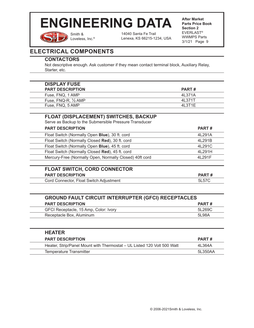Smith & Loveless, Inc.® 14040 Santa Fe Trail Lenexa, KS 66215-1234, USA **After Market Parts Price Book Section 2** EVERLAST® WWMPS Parts 3/1/21 Page 9

# **ELECTRICAL COMPONENTS**

#### **CONTACTORS**

Not descriptive enough. Ask customer if they mean contact terminal block, Auxiliary Relay, Starter, etc.

| <b>DISPLAY FUSE</b>     |         |
|-------------------------|---------|
| <b>PART DESCRIPTION</b> | PART#   |
| Fuse, FNQ, 1 AMP        | 41 371A |
| Fuse, FNQ-R, 1/2 AMP    | 4L371T  |
| Fuse, FNQ, 5 AMP        | 41 3T1F |

### **FLOAT (DISPLACEMENT) SWITCHES, BACKUP**

Serve as Backup to the Submersible Pressure Transducer

| <b>PART DESCRIPTION</b>                                 | <b>PART#</b> |
|---------------------------------------------------------|--------------|
| Float Switch (Normally Open Blue), 30 ft. cord          | 4L291A       |
| Float Switch (Normally Closed Red), 30 ft. cord         | 4L291B       |
| Float Switch (Normally Open Blue), 45 ft. cord          | 4L291C       |
| Float Switch (Normally Closed Red), 45 ft. cord         | 4L291H       |
| Mercury-Free (Normally Open, Normally Closed) 40ft cord | 41 291 F     |
|                                                         |              |

| <b>FLOAT SWITCH, CORD CONNECTOR</b>     |       |
|-----------------------------------------|-------|
| <b>PART DESCRIPTION</b>                 | PART# |
| Cord Connector, Float Switch Adjustment | 5L57C |

| <b>GROUND FAULT CIRCUIT INTERRUPTER (GFCI) RECEPTACLES</b> |        |  |  |  |
|------------------------------------------------------------|--------|--|--|--|
| <b>PART DESCRIPTION</b><br>PART#                           |        |  |  |  |
| GFCI Receptacle, 15 Amp, Color: Ivory                      | 5L269C |  |  |  |
| Receptacle Box, Aluminum                                   | 5L98A  |  |  |  |
|                                                            |        |  |  |  |

| <b>HEATER</b>                                                           |              |
|-------------------------------------------------------------------------|--------------|
| <b>PART DESCRIPTION</b>                                                 | <b>PART#</b> |
| Heater, Strip/Panel Mount with Thermostat – UL Listed 120 Volt 500 Watt | 4L364A       |
| Temperature Transmitter                                                 | 51 350AA     |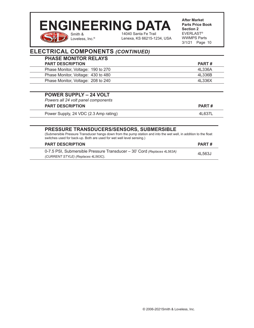### Smith & 14040 Santa Fe Trail **ENGINEERING DATA**

Lenexa, KS 66215-1234, USA

**After Market Parts Price Book Section 2** EVERLAST® WWMPS Parts 3/1/21 Page 10

# **ELECTRICAL COMPONENTS** *(CONTINUED)*

Loveless, Inc.®

| <b>PART#</b> |
|--------------|
| 4L336A       |
| 4L336B       |
| 4L336X       |
|              |

| <b>POWER SUPPLY - 24 VOLT</b><br>Powers all 24 volt panel components<br><b>PART DESCRIPTION</b> | <b>PART#</b> |
|-------------------------------------------------------------------------------------------------|--------------|
| Power Supply, 24 VDC (2.3 Amp rating)                                                           | 4L637L       |
|                                                                                                 |              |

#### **PRESSURE TRANSDUCERS/SENSORS, SUBMERSIBLE**

(Submersible Pressure Transducer hangs down from the pump station and into the wet well, in addition to the float switches used for back-up. Both are used for wet well level sensing.)

| <b>PART DESCRIPTION</b>                                                                                       | PART#  |
|---------------------------------------------------------------------------------------------------------------|--------|
| 0-7.5 PSI, Submersible Pressure Transducer – 30' Cord (Replaces 4L563A)<br>(CURRENT STYLE) (Replaces 4L563C). | 4L563J |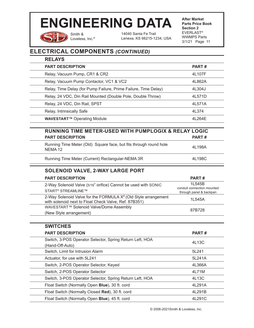

Smith & Loveless, Inc.® 14040 Santa Fe Trail Lenexa, KS 66215-1234, USA **After Market Parts Price Book Section 2** EVERLAST® WWMPS Parts 3/1/21 Page 11

# **ELECTRICAL COMPONENTS** *(CONTINUED)*

| <b>RELAYS</b>                                                                                                                       |                                                                 |
|-------------------------------------------------------------------------------------------------------------------------------------|-----------------------------------------------------------------|
| <b>PART DESCRIPTION</b>                                                                                                             | PART#                                                           |
| Relay, Vacuum Pump, CR1 & CR2                                                                                                       | 4L107F                                                          |
| Relay, Vacuum Pump Contactor, VC1 & VC2                                                                                             | 4L862A                                                          |
| Relay, Time Delay (for Pump Failure, Prime Failure, Time Delay)                                                                     | 4L304J                                                          |
| Relay, 24 VDC, Din Rail Mounted (Double Pole, Double Throw)                                                                         | 4L571D                                                          |
| Relay, 24 VDC, Din Rail, SPST                                                                                                       | 4L571A                                                          |
| Relay, Intrinsically Safe                                                                                                           | 4L374                                                           |
| <b>WAVESTART™ Operating Module</b>                                                                                                  | 4L264E                                                          |
| RUNNING TIME METER-USED WITH PUMPLOGIX & RELAY LOGIC<br><b>PART DESCRIPTION</b>                                                     | PART#                                                           |
| Running Time Meter (Old) Square face, but fits through round hole<br>NEMA <sub>12</sub>                                             | 4L198A                                                          |
| Running Time Meter (Current) Rectangular-NEMA 3R                                                                                    | 4L198C                                                          |
| <b>SOLENOID VALVE, 2-WAY LARGE PORT</b>                                                                                             |                                                                 |
| <b>PART DESCRIPTION</b>                                                                                                             | PART#                                                           |
| 2-Way Solenoid Valve (5/16" orifice) Cannot be used with SONIC<br>START <sup>®</sup> STREAMLINE™                                    | 1L545B<br>conduit connection mounted<br>through panel & backpan |
| 2-Way Solenoid Valve for the FORMULA X <sup>®</sup> (Old Style arrangement<br>with solenoid next to Float Check Valve, Ref. 87B351) | 1L545A                                                          |
| WAVESTART™ Solenoid Valve/Dome Assembly<br>(New Style arrangement)                                                                  | 87B728                                                          |
| <b>SWITCHES</b>                                                                                                                     |                                                                 |
| <b>PART DESCRIPTION</b>                                                                                                             | PART#                                                           |
| Switch, 3-POS Operator Selector, Spring Return Left, HOA<br>(Hand-Off-Auto)                                                         | 4L13C                                                           |
| Switch, Limit for Intrusion Alarm                                                                                                   | 5L241                                                           |
| Actuator, for use with 5L241                                                                                                        | 5L241A                                                          |
| Switch, 2-POS Operator Selector, Keyed                                                                                              | 4L366A                                                          |
| Switch, 2-POS Operator Selector                                                                                                     | 4L71M                                                           |
| Switch, 3-POS Operator Selector, Spring Return Left, HOA                                                                            | 4L13C                                                           |
| Float Switch (Normally Open Blue), 30 ft. cord                                                                                      | 4L291A                                                          |
| Float Switch (Normally Closed Red), 30 ft. cord                                                                                     | 4L291B                                                          |

Float Switch (Normally Open **Blue**), 45 ft. cord 4L291C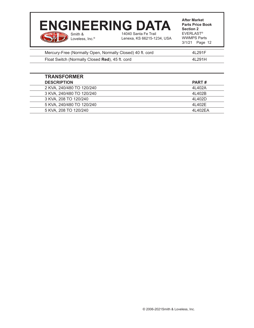#### **After Market Section 2** Smith & Loveless, Inc.® 14040 Santa Fe Trail Lenexa, KS 66215-1234, USA **ENGINEERING DATA**

**Parts Price Book**  EVERLAST® WWMPS Parts 3/1/21 Page 12

| Mercury-Free (Normally Open, Normally Closed) 40 ft. cord | 4L291F   |
|-----------------------------------------------------------|----------|
| Float Switch (Normally Closed Red), 45 ft. cord           | 41 291 H |
|                                                           |          |

| <b>TRANSFORMER</b>        |              |
|---------------------------|--------------|
| <b>DESCRIPTION</b>        | <b>PART#</b> |
| 2 KVA, 240/480 TO 120/240 | 4L402A       |
| 3 KVA, 240/480 TO 120/240 | 4L402B       |
| 3 KVA, 208 TO 120/240     | 41402D       |
| 5 KVA, 240/480 TO 120/240 | 4L402E       |
| 5 KVA, 208 TO 120/240     | 4L402EA      |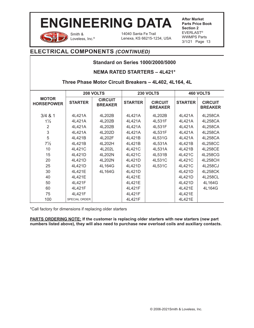

Smith & Loveless, Inc.® 14040 Santa Fe Trail Lenexa, KS 66215-1234, USA **After Market Parts Price Book Section 2** EVERLAST® WWMPS Parts 3/1/21 Page 13

## **ELECTRICAL COMPONENTS** *(CONTINUED)*

### **Standard on Series 1000/2000/5000**

#### **NEMA RATED STARTERS – 4L421\***

### **Three Phase Motor Circuit Breakers – 4L402, 4L164, 4L**

|                                   | 208 VOLTS            |                                  | 230 VOLTS      |                                  |                | <b>460 VOLTS</b>                 |
|-----------------------------------|----------------------|----------------------------------|----------------|----------------------------------|----------------|----------------------------------|
| <b>MOTOR</b><br><b>HORSEPOWER</b> | <b>STARTER</b>       | <b>CIRCUIT</b><br><b>BREAKER</b> | <b>STARTER</b> | <b>CIRCUIT</b><br><b>BREAKER</b> | <b>STARTER</b> | <b>CIRCUIT</b><br><b>BREAKER</b> |
| 3/4 & 81                          | 4L421A               | 4L202B                           | 4L421A         | 4L202B                           | 4L421A         | 4L258CA                          |
| $1\frac{1}{2}$                    | 4L421A               | 4L202B                           | 4L421A         | 4L531F                           | 4L421A         | 4L258CA                          |
| 2                                 | 4L421A               | 4L202B                           | 4L421A         | 4L531F                           | 4L421A         | 4L258CA                          |
| 3                                 | 4L421A               | 4L202D                           | 4L421A         | 4L531F                           | 4L421A         | 4L258CA                          |
| 5                                 | 4L421B               | 4L202F                           | 4L421B         | 4L531G                           | 4L421A         | 4L258CA                          |
| $7\frac{1}{2}$                    | 4L421B               | 4L202H                           | 4L421B         | 4L531A                           | 4L421B         | 4L258CC                          |
| 10                                | 4L421C               | 4L202L                           | 4L421C         | 4L531A                           | 4L421B         | 4L258CE                          |
| 15                                | 4L421D               | 4L202N                           | 4L421C         | 4L531B                           | 4L421C         | 4L258CG                          |
| 20                                | 4L421D               | 4L202N                           | 4L421D         | 4L531C                           | 4L421C         | 4L258CH                          |
| 25                                | 4L421D               | 4L164G                           | 4L421D         | 4L531C                           | 4L421C         | 4L258CJ                          |
| 30                                | 4L421E               | 4L164G                           | 4L421D         |                                  | 4L421D         | 4L258CK                          |
| 40                                | 4L421E               |                                  | 4L421E         |                                  | 4L421D         | 4L258CL                          |
| 50                                | 4L421F               |                                  | 4L421E         |                                  | 4L421D         | 4L164G                           |
| 60                                | 4L421F               |                                  | 4L421F         |                                  | 4L421E         | 4L164G                           |
| 75                                | 4L421F               |                                  | 4L421F         |                                  | 4L421E         |                                  |
| 100                               | <b>SPECIAL ORDER</b> |                                  | 4L421F         |                                  | 4L421E         |                                  |

\*Call factory for dimensions if replacing older starters

**PARTS ORDERING NOTE: If the customer is replacing older starters with new starters (new part numbers listed above), they will also need to purchase new overload coils and auxiliary contacts.**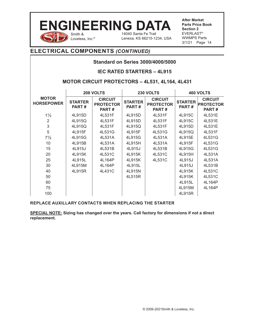

**After Market Parts Price Book Section 2** EVERLAST® WWMPS Parts 3/1/21 Page 14

## **ELECTRICAL COMPONENTS** *(CONTINUED)*

#### **Standard on Series 3000/4000/5000**

#### **IEC RATED STARTERS – 4L915**

#### **MOTOR CIRCUIT PROTECTORS – 4L531, 4L164, 4L431**

|                                   | 208 VOLTS               |                                             |                         | 230 VOLTS                                   |                         | 460 VOLTS                                   |
|-----------------------------------|-------------------------|---------------------------------------------|-------------------------|---------------------------------------------|-------------------------|---------------------------------------------|
| <b>MOTOR</b><br><b>HORSEPOWER</b> | <b>STARTER</b><br>PART# | <b>CIRCUIT</b><br><b>PROTECTOR</b><br>PART# | <b>STARTER</b><br>PART# | <b>CIRCUIT</b><br><b>PROTECTOR</b><br>PART# | <b>STARTER</b><br>PART# | <b>CIRCUIT</b><br><b>PROTECTOR</b><br>PART# |
| $1\frac{1}{2}$                    | 4L915D                  | 4L531F                                      | 4L915D                  | 4L531F                                      | 4L915C                  | 4L531E                                      |
| $\overline{2}$                    | 4L915Q                  | 4L531F                                      | 4L915D                  | 4L531F                                      | 4L915C                  | 4L531E                                      |
| $\mathsf 3$                       | 4L915Q                  | 4L531F                                      | 4L915Q                  | 4L531F                                      | 4L915D                  | 4L531E                                      |
| 5                                 | 4L915F                  | 4L531G                                      | 4L915F                  | 4L531G                                      | 4L915Q                  | 4L531F                                      |
| $7\frac{1}{2}$                    | 4L915G                  | 4L531A                                      | 4L915G                  | 4L531A                                      | 4L915E                  | 4L531G                                      |
| 10                                | 4L915B                  | 4L531A                                      | 4L915H                  | 4L531A                                      | 4L915F                  | 4L531G                                      |
| 15                                | 4L915J                  | 4L531B                                      | 4L915J                  | 4L531B                                      | 4L915G                  | 4L531G                                      |
| 20                                | 4L915K                  | 4L531C                                      | 4L915K                  | 4L531C                                      | 4L915H                  | 4L531A                                      |
| 25                                | 4L915L                  | 4L164P                                      | 4L915K                  | 4L531C                                      | 4L915J                  | 4L531A                                      |
| 30                                | 4L915M                  | 4L164P                                      | 4L915L                  |                                             | 4L915J                  | 4L531B                                      |
| 40                                | 4L915R                  | 4L431C                                      | 4L915N                  |                                             | 4L915K                  | 4L531C                                      |
| 50                                |                         |                                             | 4L515R                  |                                             | 4L915K                  | 4L531C                                      |
| 60                                |                         |                                             |                         |                                             | 4L915L                  | 4L164P                                      |
| 75                                |                         |                                             |                         |                                             | 4L915M                  | 4L164P                                      |
| 100                               |                         |                                             |                         |                                             | 4L915R                  |                                             |

#### **REPLACE AUXILLARY CONTACTS WHEN REPLACING THE STARTER**

**SPECIAL NOTE: Sizing has changed over the years. Call factory for dimensions if not a direct replacement.**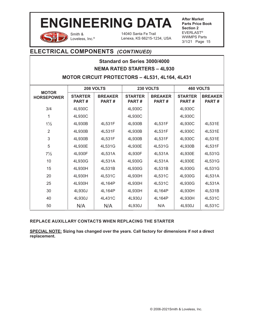

Smith & Loveless, Inc.® 14040 Santa Fe Trail Lenexa, KS 66215-1234, USA **After Market Parts Price Book Section 2** EVERLAST® WWMPS Parts 3/1/21 Page 15

### **ELECTRICAL COMPONENTS** *(CONTINUED)*

### **Standard on Series 3000/4000 NEMA RATED STARTERS – 4L930**

#### **MOTOR CIRCUIT PROTECTORS – 4L531, 4L164, 4L431**

|                                   | 208 VOLTS               |                                | 230 VOLTS                      |                                | 460 VOLTS                      |                         |
|-----------------------------------|-------------------------|--------------------------------|--------------------------------|--------------------------------|--------------------------------|-------------------------|
| <b>MOTOR</b><br><b>HORSEPOWER</b> | <b>STARTER</b><br>PART# | <b>BREAKER</b><br><b>PART#</b> | <b>STARTER</b><br><b>PART#</b> | <b>BREAKER</b><br><b>PART#</b> | <b>STARTER</b><br><b>PART#</b> | <b>BREAKER</b><br>PART# |
| 3/4                               | 4L930C                  |                                | 4L930C                         |                                | 4L930C                         |                         |
| 1                                 | 4L930C                  |                                | 4L930C                         |                                | 4L930C                         |                         |
| $1\frac{1}{2}$                    | 4L930B                  | 4L531F                         | 4L930B                         | 4L531F                         | 4L930C                         | 4L531E                  |
| $\overline{2}$                    | 4L930B                  | 4L531F                         | 4L930B                         | 4L531F                         | 4L930C                         | 4L531E                  |
| 3                                 | 4L930B                  | 4L531F                         | 4L930B                         | 4L531F                         | 4L930C                         | 4L531E                  |
| 5                                 | 4L930E                  | 4L531G                         | 4L930E                         | 4L531G                         | 4L930B                         | 4L531F                  |
| $7\frac{1}{2}$                    | 4L930F                  | 4L531A                         | 4L930F                         | 4L531A                         | 4L930E                         | 4L531G                  |
| 10                                | 4L930G                  | 4L531A                         | 4L930G                         | 4L531A                         | 4L930E                         | 4L531G                  |
| 15                                | 4L930H                  | 4L531B                         | 4L930G                         | 4L531B                         | 4L930G                         | 4L531G                  |
| 20                                | 4L930H                  | 4L531C                         | 4L930H                         | 4L531C                         | 4L930G                         | 4L531A                  |
| 25                                | 4L930H                  | 4L164P                         | 4L930H                         | 4L531C                         | 4L930G                         | 4L531A                  |
| 30                                | 4L930J                  | 4L164P                         | 4L930H                         | 4L164P                         | 4L930H                         | 4L531B                  |
| 40                                | 4L930J                  | 4L431C                         | 4L930J                         | 4L164P                         | 4L930H                         | 4L531C                  |
| 50                                | N/A                     | N/A                            | 4L930J                         | N/A                            | 4L930J                         | 4L531C                  |

#### **REPLACE AUXILLARY CONTACTS WHEN REPLACING THE STARTER**

**SPECIAL NOTE: Sizing has changed over the years. Call factory for dimensions if not a direct replacement.**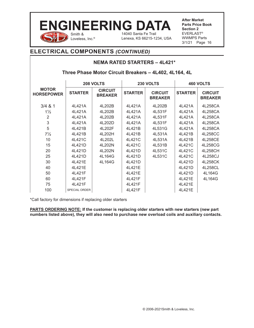#### Smith & Loveless, Inc.<sup>®</sup> 14040 Santa Fe Trail Lenexa, KS 66215-1234, USA **ENGINEERING DATA**

**After Market Parts Price Book Section 2** EVERLAST® WWMPS Parts 3/1/21 Page 16

## **ELECTRICAL COMPONENTS** *(CONTINUED)*

### **NEMA RATED STARTERS – 4L421\***

#### **Three Phase Motor Circuit Breakers – 4L402, 4L164, 4L**

|                                   | 208 VOLTS            |                                  | 230 VOLTS      |                                  |                | <b>460 VOLTS</b>                 |
|-----------------------------------|----------------------|----------------------------------|----------------|----------------------------------|----------------|----------------------------------|
| <b>MOTOR</b><br><b>HORSEPOWER</b> | <b>STARTER</b>       | <b>CIRCUIT</b><br><b>BREAKER</b> | <b>STARTER</b> | <b>CIRCUIT</b><br><b>BREAKER</b> | <b>STARTER</b> | <b>CIRCUIT</b><br><b>BREAKER</b> |
| $3/4$ & 1                         | 4L421A               | 4L202B                           | 4L421A         | 4L202B                           | 4L421A         | 4L258CA                          |
| $1\frac{1}{2}$                    | 4L421A               | 4L202B                           | 4L421A         | 4L531F                           | 4L421A         | 4L258CA                          |
| $\overline{2}$                    | 4L421A               | 4L202B                           | 4L421A         | 4L531F                           | 4L421A         | 4L258CA                          |
| 3                                 | 4L421A               | 4L202D                           | 4L421A         | 4L531F                           | 4L421A         | 4L258CA                          |
| 5                                 | 4L421B               | 4L202F                           | 4L421B         | 4L531G                           | 4L421A         | 4L258CA                          |
| $7\frac{1}{2}$                    | 4L421B               | 4L202H                           | 4L421B         | 4L531A                           | 41421B         | 4L258CC                          |
| 10                                | 4L421C               | 4L202L                           | 4L421C         | 4L531A                           | 4L421B         | 4L258CE                          |
| 15                                | 4L421D               | 4L202N                           | 4L421C         | 4L531B                           | 4L421C         | 4L258CG                          |
| 20                                | 4L421D               | 4L202N                           | 4L421D         | 4L531C                           | 4L421C         | 4L258CH                          |
| 25                                | 4L421D               | 4L164G                           | 4L421D         | 4L531C                           | 4L421C         | 4L258CJ                          |
| 30                                | 4L421E               | 4L164G                           | 4L421D         |                                  | 4L421D         | 4L258CK                          |
| 40                                | 4L421E               |                                  | 4L421E         |                                  | 4L421D         | 4L258CL                          |
| 50                                | 4L421F               |                                  | 41421E         |                                  | 4L421D         | 4L164G                           |
| 60                                | 4L421F               |                                  | 4L421F         |                                  | 4L421E         | 4L164G                           |
| 75                                | 4L421F               |                                  | 4L421F         |                                  | 4L421E         |                                  |
| 100                               | <b>SPECIAL ORDER</b> |                                  | 4L421F         |                                  | 4L421E         |                                  |

\*Call factory for dimensions if replacing older starters

**PARTS ORDERING NOTE:** If the customer is replacing older starters with new starters (new part **numbers listed above), they will also need to purchase new overload coils and auxiliary contacts.**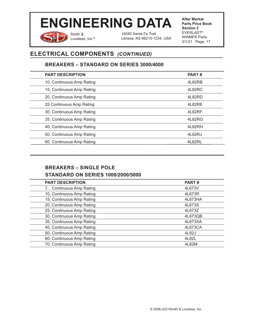Smith & Loveless, Inc.®

14040 Santa Fe Trail Lenexa, KS 66215-1234, USA **After Market Parts Price Book Section 2** EVERLAST® WWMPS Parts 3/1/21 Page 17

# **ELECTRICAL COMPONENTS** *(CONTINUED)*

### **BREAKERS – STANDARD ON SERIES 3000/4000**

| <b>PART DESCRIPTION</b>   | <b>PART#</b> |
|---------------------------|--------------|
| 10, Continuous Amp Rating | 4L82RB       |
| 15, Continuous Amp Rating | 4L82RC       |
| 20, Continuous Amp Rating | 4L82RD       |
| 25 Continuous Amp Rating  | 4L82RE       |
| 30, Continuous Amp Rating | 4L82RF       |
| 35, Continuous Amp Rating | 4L82RG       |
| 40, Continuous Amp Rating | 4L82RH       |
| 50, Continuous Amp Rating | 4L82RJ       |
| 60, Continuous Amp Rating | 4L82RL       |
|                           |              |

## **BREAKERS – SINGLE POLE STANDARD ON SERIES 1000/2000/5000**

| <b>PART DESCRIPTION</b>   | <b>PART#</b> |
|---------------------------|--------------|
| 7, Continuous Amp Rating  | 4L673V       |
| 10, Continuous Amp Rating | 4L673R       |
| 15, Continuous Amp Rating | 4L673HA      |
| 20, Continuous Amp Rating | 4L673S       |
| 25, Continuous Amp Rating | 4L673Z       |
| 30, Continuous Amp Rating | 4L673QB      |
| 35, Continuous Amp Rating | 4L673XA      |
| 40, Continuous Amp Rating | 4L673CA      |
| 50, Continuous Amp Rating | 4L82J        |
| 60, Continuous Amp Rating | 4L82L        |
| 70, Continuous Amp Rating | 4L82M        |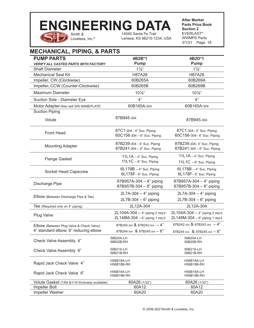### Smith & 14040 Santa Fe Trail **ENGINEERING DATA**

Lenexa, KS 66215-1234, USA

**After Market Parts Price Book Section 2** EVERLAST® WWMPS Parts 3/1/21 Page 18

# **MECHANICAL, PIPING, & PARTS**

Loveless, Inc.®

| <b>PUMP PARTS</b>                               | 4B2B*1                                                             | 4B2D*1                                                             |
|-------------------------------------------------|--------------------------------------------------------------------|--------------------------------------------------------------------|
| <b>VERIFY ALL CASTED PARTS WITH FACTORY</b>     | Pump                                                               | <b>Pump</b>                                                        |
| <b>Shaft Diameter</b>                           | $1\frac{7}{8}$ "                                                   | $1\frac{7}{8}$ "                                                   |
| <b>Mechanical Seal Kit</b>                      | H87A28                                                             | H87A28                                                             |
| Impeller, CW (Clockwise)                        | 60B265A                                                            | 60B269A                                                            |
| Impeller, CCW (Counter-Clockwise)               | 60B265B                                                            | 60B269B                                                            |
| <b>Maximum Diameter</b>                         | $10\frac{1}{8}$ "                                                  | $10\frac{1}{8}$ "                                                  |
| Suction Side - Diameter Eye                     | 4"                                                                 | 4"                                                                 |
| Motor Adapter-Also sell S/N NAMEPLATE           | 60B165A-304                                                        | 60B165A-304                                                        |
| <b>Suction Piping</b>                           |                                                                    |                                                                    |
| Volute                                          | 87B945-304                                                         | 87B945-304                                                         |
| <b>Front Head</b>                               | 87C1-304 - 4" Suc. Piping<br>60C156-304 - 6" Suc. Piping           | 87C1-304-4" Suc. Piping<br>60C156-304- 6" Suc. Piping              |
| <b>Mounting Adapter</b>                         | 87B239-304 - 4" Suc. Piping<br>87B241-304 - 6" Suc. Piping         | 87B239-304-4" Suc. Piping<br>87B241-304 - 6" Suc. Piping           |
| <b>Flange Gasket</b>                            | $11L1A - 4$ " Suc. Piping<br>$11L1C - 6$ " Suc. Piping             | $11L1A - 4$ " Suc. Piping<br>$11L1C - 6$ " Suc. Piping             |
| Socket Head Capscrew                            | $6L178B - 4$ " Suc. Piping<br>6L178F-6" Suc. Piping                | $6L178B - 4$ " Suc. Piping<br>6L178F-6" Suc. Piping                |
| Discharge Pipe                                  | 87B957A-304 - 4" piping<br>87B957B-304 - 6" piping                 | 87B957A-304 - 4" piping<br>87B957B-304 - 6" piping                 |
| Elbow (Between Discharge Pipe & Tee)            | $2L7A-304-4"$ piping<br>$2L7B-304-6"$ piping                       | $2L7A-304-4"$ piping<br>$2L7B-304-6"$ piping                       |
| Tee (Required only on 4" piping)                | 2L12A-304                                                          | 2L12A-304                                                          |
| Plug Valve                                      | $2L104A-304 - 4"$ piping 2 req'd<br>2L148M-304 - 6" piping 1 req'd | $2L104A-304 - 4"$ piping 2 req'd<br>2L148M-304 - 6" piping 1 req'd |
| Elbow (Between Plug Valve & Check Valve)        | 87B242-304 & 87B243-304 - 4"                                       | 87B242-304 & 87B243-304 - 4"                                       |
| 4" standard elbow, 6" reducing elbow            | 87B244-304 & 87B245-304 - 6"                                       | 87B244-304 & 87B245-304 - 6"                                       |
| Check Valve Assembly 4"                         | 56B20A-LH<br>56B20B-RH                                             | 56B20A-LH<br>56B20B-RH                                             |
| Check Valve Assembly 6"                         | 56B21A-LH<br>56B21B-RH                                             | 56B21A-LH<br>56B21B-RH                                             |
| Rapid Jack Check Valve 4"                       | <b>H56B18A-LH</b><br>H56B18B-RH                                    | H56B18A-LH<br>H56B18B-RH                                           |
| Rapid Jack Check Valve 6"                       | H56B19A-LH<br><b>H56B19B-RH</b>                                    | H56B19A-LH<br><b>H56B19B-RH</b>                                    |
| Volute Gasket (1/64 & 1/16 thickness available) | 60A26 (1/32")                                                      | 60A26 (1/32")                                                      |
| Impeller Bolt                                   | 60A12                                                              | 60A12                                                              |
| Impeller Washer                                 | 60A20                                                              | 60A20                                                              |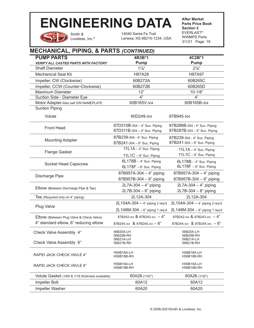Smith & Loveless, Inc.® 14040 Santa Fe Trail Lenexa, KS 66215-1234, USA **After Market Parts Price Book Section 2** EVERLAST® WWMPS Parts 3/1/21 Page 19

#### **MECHANICAL, PIPING, & PARTS** *(CONTINUED)* **PUMP PARTS**  *VERIFY ALL CASTED PARTS WITH FACTORY* **4B3B\*1 Pump 4C2B\*1 Pump** Shaft Diameter 2<sup>1</sup>/<sub>8</sub>" 2<sup>1</sup>/<sub>8</sub>" 2<sup>1</sup>/<sub>8</sub>" 2<sup>1</sup>/<sub>8</sub>" Mechanical Seal Kit **H87A28** H87A28 H87A97 Impeller, CW (Clockwise)  $60B272A$  60B265C Impeller, CCW (Counter-Clockwise) 60B272B 60B265D Maximum Diameter 12" 12" 12" 10-1/8" Suction Side - Diameter Eye  $4"$   $4"$   $4"$ Motor Adapter-Also sell S/N NAMEPLATE 60B165V-304 60B165B-304 Suction Piping Volute 60D249-304 87B945-304 Front Head 87D310B-304 – 4" Suc. Piping 87D311B-304 – 4" Suc. Piping 87B286B-304 - 4" Suc. Piping 87B287B-304 – 6" Suc. Piping Mounting Adapter 87B239-304 - 4" Suc. Piping 87B241-304 – 6" Suc. Piping 87B239-304 - 4" Suc. Piping 87B241-304 – 6" Suc. Piping Flange Gasket  $11L1A - 4$ " Suc. Piping  $11L1C - 6$ " Suc. Piping  $11L1A - 4$ " Suc. Piping  $11L1C - 6$ " Suc. Piping Socket Head Capscrew 6L178B – 4" Suc. Piping 6L178F – 6" Suc. Piping 6L178B – 4" Suc. Piping 6L178F – 6" Suc. Piping Discharge Pipe 87B957A-304 – 4" piping<br>
and an analysis of the state of the state of the state of the state of the state of the state of the state of the state of the state of the state of the state of the state of the sta 87B957B-304 – 6" piping 87B957A-304 – 4" piping 87B957B-304 – 6" piping Elbow (Between Discharge Pipe & Tee) 2L7A-304 – 4" piping 2L7B-304 – 6" piping 2L7A-304 – 4" piping 2L7B-304 – 6" piping Tee (Required only on 4" piping) 2L12A-304 2L12A-304 Plug Valve 2L104A-304 – 4" piping 2 req'd 2L148M-304 – 6" piping 1 req'd 2L104A-304 – 4" piping 2 req'd 2L148M-304 – 6" piping 1 req'd Elbow (Between Plug Valve & Check Valve) 4" standard elbow, 6" reducing elbow 87B242-304 & 87B243-304 – 4" 87B244-304 & 87B245-304 – 6" 87B242-304 & 87B243-304 – 4" 87B244-304 & 87B245-304 – 6" Check Valve Assembly 4" Check Valve Assembly 6" 56B20A-LH 56B20B-RH 56B21A-LH 56B21B-RH 56B20A-LH 56B20B-RH 56B21A-LH 56B21B-RH RAPID JACK CHECK VAVLE 4" RAPID JACK CHECK VAVLE 6" H56B18A-LH H56B18B-RH H56B19A-LH H56B19B-RH ٦ H56B18A-LH H56B18B-RH H56B19A-LH H56B19B-RH Volute Gasket (1/64 & 1/16 thickness available) 60A28 (1/32") 60A26 (1/32") Impeller Bolt 60A12 60A12 Impeller Washer 60A20 60A20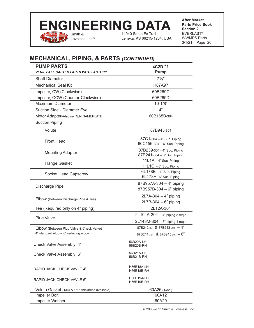

14040 Santa Fe Trail Lenexa, KS 66215-1234, USA

**After Market Parts Price Book Section 2** EVERLAST® WWMPS Parts 3/1/21 Page 20

# **MECHANICAL, PIPING, & PARTS** *(CONTINUED)*

| <b>PUMP PARTS</b><br>VERIFY ALL CASTED PARTS WITH FACTORY | 4C2D *1<br><b>Pump</b>                                        |
|-----------------------------------------------------------|---------------------------------------------------------------|
| <b>Shaft Diameter</b>                                     | $2\frac{1}{8}$ "                                              |
| <b>Mechanical Seal Kit</b>                                | H87A97                                                        |
| Impeller, CW (Clockwise)                                  | 60B269C                                                       |
| Impeller, CCW (Counter-Clockwise)                         | 60B269D                                                       |
| Maximum Diameter                                          | $10 - 1/8"$                                                   |
| Suction Side - Diameter Eye                               | 4"                                                            |
| Motor Adapter-Also sell S/N NAMEPLATE                     | 60B165B-304                                                   |
| <b>Suction Piping</b>                                     |                                                               |
| Volute                                                    | 87B945-304                                                    |
| <b>Front Head</b>                                         | 87C1-304 - 4" Suc. Piping<br>$60C156 - 304 - 6$ " Suc. Piping |
| <b>Mounting Adapter</b>                                   | 87B239-304 - 4" Suc. Piping<br>87B241-304 - 6" Suc. Piping    |
| <b>Flange Gasket</b>                                      | 11L1A - 4" Suc. Piping                                        |
|                                                           | $11L1C - 6$ " Suc. Piping                                     |
| Socket Head Capscrew                                      | $6L178B - 4$ " Suc. Piping<br>6L178F-6" Suc. Piping           |
|                                                           | 87B957A-304 - 4" piping                                       |
| Discharge Pipe                                            | 87B957B-304 - 6" piping                                       |
|                                                           | $2L7A-304-4"$ piping                                          |
| Elbow (Between Discharge Pipe & Tee)                      | $2L7B-304-6"$ piping                                          |
| Tee (Required only on 4" piping)                          | 2L12A-304                                                     |
|                                                           | $2L104A-304 - 4"$ piping 2 req'd                              |
| <b>Plug Valve</b>                                         | 2L148M-304 - 6" piping 1 req'd                                |
| Elbow (Between Plug Valve & Check Valve)                  | 87B242-304 & 87B243-304 - 4"                                  |
| 4" standard elbow, 6" reducing elbow                      | 87B244-304 & 87B245-304 - 6"                                  |
| Check Valve Assembly 4"                                   | 56B20A-LH<br>56B20B-RH                                        |
| Check Valve Assembly 6"                                   | 56B21A-LH<br>56B21B-RH                                        |
| RAPID JACK CHECK VAVLE 4"                                 | H56B18A-LH<br>H56B18B-RH                                      |
| RAPID JACK CHECK VAVLE 6"                                 | H56B19A-LH<br>H56B19B-RH                                      |
| Volute Gasket (1/64 & 1/16 thickness available)           | 60A26 (1/32")                                                 |
| Impeller Bolt                                             | 60A12                                                         |
| Impeller Washer                                           | 60A20                                                         |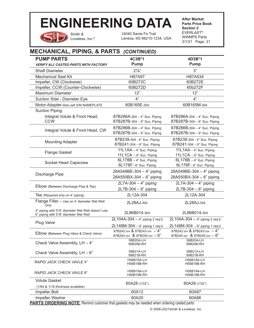Smith & Loveless, Inc.<sup>®</sup>

14040 Santa Fe Trail Lenexa, KS 66215-1234, USA **After Market Parts Price Book Section 2** EVERLAST® WWMPS Parts 3/1/21 Page 21

# **MECHANICAL, PIPING, & PARTS** *(CONTINUED)*

| <b>PUMP PARTS</b>                                                                            | 4C3B*1                                                                                             | 4D3B*1                                                                                           |
|----------------------------------------------------------------------------------------------|----------------------------------------------------------------------------------------------------|--------------------------------------------------------------------------------------------------|
| <b>VERIFY ALL CASTED PARTS WITH FACTORY</b>                                                  | <b>Pump</b>                                                                                        | <b>Pump</b>                                                                                      |
| <b>Shaft Diameter</b>                                                                        | $2\frac{1}{8}$ "                                                                                   | 3"                                                                                               |
| <b>Mechanical Seal Kit</b>                                                                   | H87A97                                                                                             | H87A534                                                                                          |
| Impeller, CW (Clockwise)                                                                     | 60B272C                                                                                            | 60B272E                                                                                          |
| Impeller, CCW (Counter-Clockwise)                                                            | 60B272D                                                                                            | 60b272F                                                                                          |
| <b>Maximum Diameter</b>                                                                      | 12"                                                                                                | 12"                                                                                              |
| Suction Side - Diameter Eye                                                                  | 4"                                                                                                 | 4"                                                                                               |
| Motor Adapter-Also sell S/N NAMEPLATE                                                        | 60B165E-304                                                                                        | 60B165M-304                                                                                      |
| <b>Suction Piping</b><br>Integral Volute & Front Head,<br><b>CCW</b>                         | 87B286A-304 - 4" Suc. Piping<br>87B287B-304 - 6" Suc. Piping                                       | 87B286A-304 - 4" Suc. Piping<br>87B287B-304 - 6" Suc. Piping                                     |
| Integral Volute & Front Head, CW                                                             | 87B286B-304 - 4" Suc. Piping<br>87B287B-304 - 6" Suc. Piping                                       | 87B286B-304 - 4" Suc. Piping<br>87B287B-304 - 6" Suc. Piping                                     |
| <b>Mounting Adapter</b>                                                                      | 87B239-304 - 4" Suc. Piping<br>87B241-304 - 6" Suc. Piping                                         | 87B239-304 - 4" Suc. Piping<br>87B241-304 - 6" Suc. Piping                                       |
| <b>Flange Gasket</b>                                                                         | 11L1AA - 4" Suc. Piping<br>11L1CA - 6" Suc. Piping                                                 | $11L1AA - 4$ " Suc. Piping<br>11L1CA - 6" Suc. Piping                                            |
| Socket Head Capscrew                                                                         | $6L178B - 4$ " Suc. Piping<br>6L178F-6" Suc. Piping                                                | $6L178B - 4$ " Suc. Piping<br>6L178F-6" Suc. Piping                                              |
| Discharge Pipe                                                                               | 28A549BE-304 - 4" piping<br>28A550BX-304 - 6" piping                                               | 28A549BE-304 - 4" piping<br>28A550BX-304 - 6" piping                                             |
| Elbow (Between Discharge Pipe & Tee)                                                         | $2L7A-304-4"$ piping<br>2L7B-304 - 6" piping                                                       | $2L7A-304-4"$ piping<br>$2L7B-304-6"$ piping                                                     |
| Tee (Required only on 4" piping)                                                             | 2L12A-304                                                                                          | 2L12A-304                                                                                        |
| Flange Filler - Use on 4' diameter Wet Well<br>Only                                          | 2L28AJ-304                                                                                         | 2L28AJ-304                                                                                       |
| 4" piping with 5'/6' diameter Wet Well doesn't use<br>6" piping with 5'/6' diameter Wet Well | 2L86B014-304                                                                                       | 2L86B014-304                                                                                     |
| <b>Plug Valve</b>                                                                            | $2L104A-304 - 4"$ piping 2 req'd                                                                   | $2L104A-304 - 4"$ piping 2 req'd                                                                 |
| Elbow (Between Plug Valve & Check Valve)                                                     | $2L148M-304 - 6"$ piping 1 req'd<br>87B242-304 & 87B243-304 $-4$ "<br>87B244-304 & 87B245-304 - 6" | $2L148M-304 - 6"$ piping 1 req'd<br>87B242-304 & 87B243-304 - 4"<br>87B244-304 & 87B245-304 - 6" |
| Check Valve Assembly, LH - 4"                                                                | 56B20A-LH<br>56B20B-RH                                                                             | 56B20A-LH<br>56B20B-RH                                                                           |
| Check Valve Assembly, LH - 6"                                                                | 56B21A-LH<br>56B21B-RH                                                                             | 56B21A-LH<br>56B21B-RH                                                                           |
| RAPID JACK CHECK VAVLE 4"                                                                    | <b>H56B18A-LH</b><br>H56B18B-RH                                                                    | H56B18A-LH<br>H56B18B-RH                                                                         |
| RAPID JACK CHECK VAVLE 6"                                                                    | H56B19A-LH<br>H56B19B-RH                                                                           | H56B19A-LH<br><b>H56B19B-RH</b>                                                                  |
| <b>Volute Gasket</b>                                                                         | 60A28 (1/32")                                                                                      | 60A28 (1/32")                                                                                    |
| (1/64 & 1/16 thickness available)                                                            |                                                                                                    |                                                                                                  |
| Impeller Bolt                                                                                | 60A12                                                                                              | 60A87                                                                                            |

**PARTS ORDERING NOTE:** Remind customer that gaskets may be needed when ordering casted parts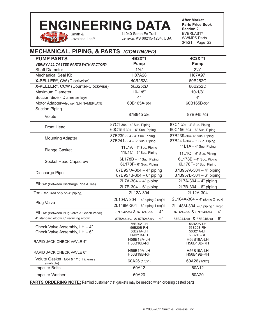# Smith & **ENGINEERING DATA**

14040 Santa Fe Trail Lenexa, KS 66215-1234, USA **After Market Parts Price Book Section 2** EVERLAST® WWMPS Parts 3/1/21 Page 22

# **MECHANICAL, PIPING, & PARTS** *(CONTINUED)*

Loveless, Inc.<sup>®</sup>

| <b>PUMP PARTS</b>                                  | 4B2X*1                           | 4C2X *1                          |  |
|----------------------------------------------------|----------------------------------|----------------------------------|--|
| <b>VERIFY ALL CASTED PARTS WITH FACTORY</b>        | <b>Pump</b>                      | Pump                             |  |
| <b>Shaft Diameter</b>                              | $1\frac{7}{8}$                   | $2\frac{1}{8}$ "                 |  |
| <b>Mechanical Seal Kit</b>                         | H87A28                           | H87A97                           |  |
| X-PELLER <sup>®</sup> , CW (Clockwise)             | 60B252A                          | 60B252C                          |  |
| X-PELLER <sup>®</sup> , CCW (Counter-Clockwise)    | 60B252B                          | 60B252D                          |  |
| <b>Maximum Diameter</b>                            | $10 - 1/8"$                      | $10 - 1/8"$                      |  |
| Suction Side - Diameter Eye                        | 4"                               | 4"                               |  |
| Motor Adapter-Also sell S/N NAMEPLATE              | 60B165A-304                      | 60B165B-304                      |  |
| <b>Suction Piping</b>                              |                                  |                                  |  |
| Volute                                             | 87B945-304                       | 87B945-304                       |  |
| <b>Front Head</b>                                  | 87C1-304 - 4" Suc. Piping        | 87C1-304 - 4" Suc. Piping        |  |
|                                                    | $60C156 - 304 - 6$ " Suc. Piping | $60C156 - 304 - 6$ " Suc. Piping |  |
| <b>Mounting Adapter</b>                            | 87B239-304 - 4" Suc. Piping      | 87B239-304-4" Suc. Piping        |  |
|                                                    | 87B241-304 - 6" Suc. Piping      | 87B241-304 - 6" Suc. Piping      |  |
| <b>Flange Gasket</b>                               | $11L1A - 4$ " Suc. Piping        | 11L1A - 4" Suc. Piping           |  |
|                                                    | $11L1C - 6$ " Suc. Piping        | 11L1C - 6" Suc. Piping           |  |
| <b>Socket Head Capscrew</b>                        | $6L178B - 4$ " Suc. Piping       | $6L178B - 4$ " Suc. Piping       |  |
|                                                    | 6L178F-6" Suc. Piping            | 6L178F-6" Suc. Piping            |  |
| Discharge Pipe                                     | 87B957A-304 - 4" piping          | 87B957A-304 - 4" piping          |  |
|                                                    | 87B957B-304 - 6" piping          | 87B957B-304 - 6" piping          |  |
| Elbow (Between Discharge Pipe & Tee)               | $2L7A-304-4"$ piping             | 2L7A-304 - 4" piping             |  |
|                                                    | $2L7B-304-6"$ piping             | $2L7B-304-6"$ piping             |  |
| Tee (Required only on 4" piping)                   | 2L12A-304                        | 2L12A-304                        |  |
|                                                    | $2L104A-304 - 4"$ piping 2 req'd | 2L104A-304 - 4" piping 2 req'd   |  |
| Plug Valve                                         | 2L148M-304 - 6" piping 1 req'd   | $2L148M-304 - 6"$ piping 1 req'd |  |
| Elbow (Between Plug Valve & Check Valve)           | 87B242-304 & 87B243-304 $-4$ "   | 87B242-304 & 87B243-304 - 4"     |  |
| 4" standard elbow, 6" reducing elbow               | 87B244-304 & 87B245-304 - 6"     | 87B244-304 & 87B245-304 - 6"     |  |
|                                                    | 56B20A-LH                        | 56B20A-LH                        |  |
| Check Valve Assembly, LH - 4"                      | 56B20B-RH<br>56B21A-LH           | 56B20B-RH<br>56B21A-LH           |  |
| Check Valve Assembly, LH - 6"                      | 56B21B-RH                        | 56B21B-RH                        |  |
| RAPID JACK CHECK VAVLE 4"                          | <b>H56B18A-LH</b><br>H56B18B-RH  | <b>H56B18A-LH</b><br>H56B18B-RH  |  |
| RAPID JACK CHECK VAVLE 6"                          | H56B19A-LH<br>H56B19B-RH         | H56B19A-LH<br>H56B19B-RH         |  |
| Volute Gasket (1/64 & 1/16 thickness<br>available) | 60A26 (1/32")                    | 60A26 (1/32")                    |  |
| <b>Impeller Bolts</b>                              | 60A12                            | 60A12                            |  |
| Impeller Washer                                    | 60A20                            | 60A20                            |  |

**PARTS ORDERING NOTE:** Remind customer that gaskets may be needed when ordering casted parts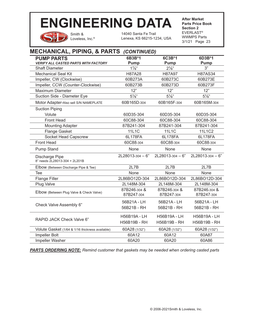

Smith & Loveless, Inc.<sup>®</sup> 14040 Santa Fe Trail Lenexa, KS 66215-1234, USA **After Market Parts Price Book Section 2** EVERLAST® WWMPS Parts 3/1/21 Page 23

# **MECHANICAL, PIPING, & PARTS** *(CONTINUED)*

| <b>PUMP PARTS</b>                               | 6B3B*1                     | 6C3B*1                     | 6D3B*1                     |
|-------------------------------------------------|----------------------------|----------------------------|----------------------------|
| <b>VERIFY ALL CASTED PARTS WITH FACTORY</b>     | Pump                       | Pump                       | <b>Pump</b>                |
| <b>Shaft Diameter</b>                           | $1\frac{7}{8}$ "           | $2\frac{1}{8}$ "           | 3"                         |
| <b>Mechanical Seal Kit</b>                      | H87A28                     | H87A97                     | <b>H87AS34</b>             |
| Impeller, CW (Clockwise)                        | 60B273A                    | 60B273C                    | 60B273E                    |
| Impeller, CCW (Counter-Clockwise)               | 60B273B                    | 60B273D                    | 60B273F                    |
| <b>Maximum Diameter</b>                         | 12"                        | 12"                        | 12"                        |
| Suction Side - Diameter Eye                     | $5\frac{1}{8}$ "           | $5\frac{1}{8}$ "           | $5\frac{1}{8}$ "           |
| Motor Adapter-Also sell S/N NAMEPLATE           | 60B165D-304                | 60B165F-304                | 60B165M-304                |
| <b>Suction Piping</b>                           |                            |                            |                            |
| Volute                                          | 60D35-304                  | 60D35-304                  | 60D35-304                  |
| <b>Front Head</b>                               | 60C88-304                  | 60C88-304                  | 60C88-304                  |
| <b>Mounting Adapter</b>                         | 87B241-304                 | 87B241-304                 | 87B241-304                 |
| <b>Flange Gasket</b>                            | <b>11L1C</b>               | 11L1C                      | 11L1C2                     |
| Socket Head Capscrew                            | 6L178FA                    | 6L178FA                    | 6L178FA                    |
| <b>Front Head</b>                               | 60C88-304                  | 60C88-304                  | 60C88-304                  |
| <b>Pump Stand</b>                               | None                       | None                       | None                       |
| Discharge Pipe<br>8" needs 2L28013-304 + 2L201B | 2L28013-304 - 6"           | $2L28013 - 304 - 6$ "      | $2L28013 - 304 - 6$ "      |
| Elbow (Between Discharge Pipe & Tee)            | 2L7B                       | 2L7B                       | 2L7B                       |
| Tee                                             | None                       | None                       | None                       |
| Flange Filler                                   | 2L86BO12D-304              | 2L86BO12D-304              | 2L86BO12D-304              |
| Plug Valve                                      | 2L148M-304                 | 2L148M-304                 | 2L148M-304                 |
| Elbow (Between Plug Valve & Check Valve)        | 87B246-304 &<br>87B247-304 | 87B246-304 &<br>87B247-304 | 87B246-304 &<br>87B247-304 |
| Check Valve Assembly 6"                         | 56B21A - LH                | 56B21A - LH                | 56B21A - LH                |
|                                                 | 56B21B - RH                | 56B21B - RH                | 56B21B - RH                |
| RAPID JACK Check Valve 6"                       | H56B19A - LH               | <b>H56B19A - LH</b>        | H56B19A - LH               |
|                                                 | H56B19B - RH               | H56B19B - RH               | H56B19B - RH               |
| Volute Gasket (1/64 & 1/16 thickness available) | 60A28 (1/32")              | 60A28 (1/32")              | 60A28 (1/32")              |
| Impeller Bolt                                   | 60A12                      | 60A12                      | 60A87                      |
| Impeller Washer                                 | 60A20                      | 60A20                      | 60A86                      |

*PARTS ORDERING NOTE: Remind customer that gaskets may be needed when ordering casted parts*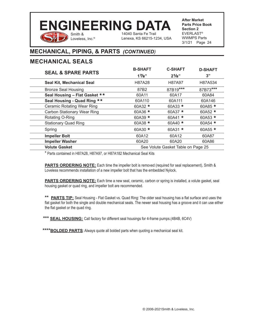### Smith & 14040 Santa Fe Trail **ENGINEERING DATA**

Lenexa, KS 66215-1234, USA

**After Market Parts Price Book Section 2** EVERLAST® WWMPS Parts 3/1/21 Page 24

# **MECHANICAL, PIPING, & PARTS** *(CONTINUED)*

Loveless, Inc.®

### **MECHANICAL SEALS**

|                                    | <b>B-SHAFT</b> | <b>C-SHAFT</b>                     | <b>D-SHAFT</b> |
|------------------------------------|----------------|------------------------------------|----------------|
| <b>SEAL &amp; SPARE PARTS</b>      | 17/8"          | $2^{1}/8$ "                        | 3"             |
| Seal Kit, Mechanical Seal          | H87A28         | H87A97                             | H87A534        |
| <b>Bronze Seal Housing</b>         | 87B2           | 87B19***                           | 87B73***       |
| Seal Housing - Flat Gasket **      | 60A11          | 60A17                              | 60A84          |
| Seal Housing - Quad Ring **        | 60A110         | 60A111                             | 60A146         |
| <b>Ceramic Rotating Wear Ring</b>  | 60A32 $*$      | 60A33 $*$                          | 60A85 $*$      |
| <b>Carbon Stationary Wear Ring</b> | 60A36 *        | 60A37 $*$                          | 60A52 $\star$  |
| Rotating O-Ring                    | 60A39 $\star$  | 60A41 $\star$                      | 60A53 $*$      |
| <b>Stationary Quad Ring</b>        | 60A38 $*$      | 60A40 $*$                          | 60A54 *        |
| Spring                             | 60A30 $*$      | 60A31 $\star$                      | 60A55 $\star$  |
| <b>Impeller Bolt</b>               | 60A12          | 60A12                              | 60A87          |
| <b>Impeller Washer</b>             | 60A20          | 60A20                              | 60A86          |
| <b>Volute Gasket</b>               |                | See Volute Gasket Table on Page 25 |                |

\* Parts contained in H87A28, H87A97, or H87A182 Mechanical Seal Kits

**PARTS ORDERING NOTE:** Each time the impeller bolt is removed (required for seal replacement), Smith & Loveless recommends installation of a new impeller bolt that has the embedded Nylock.

**PARTS ORDERING NOTE:** Each time a new seal, ceramic, carbon or spring is installed, a volute gasket, seal housing gasket or quad ring, and impeller bolt are recommended.

\*\* **PARTS TIP:** Seal Housing - Flat Gasket vs. Quad Ring: The older seal housing has a flat surface and uses the flat gasket for both the single and double mechanical seals. The newer seal housing has a groove and it can use either the flat gasket or the quad ring.

\*\*\* **SEAL HOUSING:** Call factory for different seal housings for 4-frame pumps.(4B4B, 6C4V)

\*\*\*\***BOLDED PARTS**: Always quote all bolded parts when quoting a mechanical seal kit.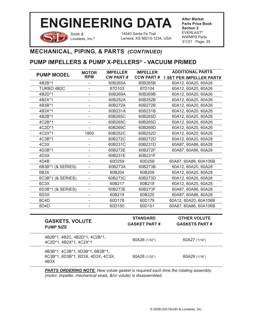

Smith & Loveless, Inc.®

14040 Santa Fe Trail Lenexa, KS 66215-1234, USA **After Market Parts Price Book Section 2** EVERLAST® WWMPS Parts 3/1/21 Page 25

### **MECHANICAL, PIPING, & PARTS** *(CONTINUED)*

### **PUMP IMPELLERS & PUMP X-PELLERS® - VACUUM PRIMED**

| <b>PUMP MODEL</b> | <b>MOTOR</b>             | <b>IMPELLER</b> | <b>IMPELLER</b>  | <b>ADDITIONAL PARTS</b>         |
|-------------------|--------------------------|-----------------|------------------|---------------------------------|
|                   | <b>RPM</b>               | <b>CW PART#</b> | <b>CCW PART#</b> | <b>1 SET PER IMPELLER PART#</b> |
| 4B2B*1            |                          | 60B265A         | 60B265B          | 60A12, 60A20, 60A26             |
| TURBO 4B2C        |                          | 87D103          | 87D104           | 60A12, 60A20, 60A26             |
| 4B2D*1            |                          | 60B269A         | 60B269B          | 60A12, 60A20, 60A26             |
| 4B2X*1            |                          | 60B252A         | 60B252B          | 60A12, 60A20, 60A26             |
| 4B3B*1            |                          | 60B272A         | 60B272B          | 60A12, 60A20, 60A28             |
| 4B3X*1            |                          | 60B231A         | 60B231B          | 60A12, 60A20, 60A26             |
| 4B2B*1            |                          | 60B265C         | 60B265D          | 60A12, 60A20, 60A26             |
| 4C2B*1            |                          | 60B265C         | 60B265D          | 60A12, 60A20, 60A26             |
| 4C2D*1            |                          | 60B269C         | 60B269D          | 60A12, 60A20, 60A26             |
| 4C2X*1            | 1800                     | 60B252C         | 60B252D          | 60A12, 60A20, 60A26             |
| 4C3B*1            |                          | 60B272C         | 60B272D          | 60A12, 60A20, 60A28             |
| 4C3X              |                          | 60B231C         | 60B231D          | 60A87, 60A86, 60A28             |
| 4D3B*1            |                          | 60B272E         | 60B272F          | 60A87, 60A86, 60A28             |
| 4D3X              |                          | 60B231E         | 60B231F          |                                 |
| 4D4B              |                          | 60D259          | 60D258           | 60A87, 60A86, 60A106B           |
| 6B3B*1 (& SERIES) | $\overline{\phantom{0}}$ | 60B273A         | 60B273B          | 60A12, 60A20, 60A28             |
| 6B <sub>3</sub> X | Ξ.                       | 60B204          | 60B209           | 60A12, 60A20, 60A28             |
| 6C3B*1 (& SERIES) | -                        | 60B273C         | 60B273D          | 60A12, 60A20, 60A28             |
| 6C <sub>3</sub> X | ۰                        | 60B217          | 60B218           | 60A12, 60A20, 60A28             |
| 6D3B*1 (& SERIES) |                          | 60B273E         | 60B273F          | 60A87, 60A86, 60A28             |
| 6D3X              |                          | 60B219          | 60B220           | 60A87, 60A86, 60A28             |
| 8C4D              |                          | 60D178          | 60D179           | 60A12, 60A20, 60A106B           |
| 8D4D              |                          | 60D150          | 60D151           | 60A87, 60A86, 60A106B           |
|                   |                          |                 |                  |                                 |

| <b>PUMP SIZE</b> | <b>GASKETS, VOLUTE</b>                                               | <b>STANDARD</b><br><b>GASKET PART#</b> | <b>OTHER VOLUTE</b><br><b>GASKETS PART#</b> |
|------------------|----------------------------------------------------------------------|----------------------------------------|---------------------------------------------|
|                  | 4B2B*1, 4B2C, 4B2D*1, 4C2B*1,<br>4C2D*1, 4B2X*1, 4C2X*1              | 60A26 (1/32")                          | 60A27 (1/16")                               |
| 4B3X             | 4B3B*1, 4C3B*1, 4D3B*1, 6B3B*1,<br>6C3B*1, 6D3B*1, 6D3X, 4D3X, 4C3X, | 60A28 (1/32")                          | 60A29 (1/16")                               |

*PARTS ORDERING NOTE: New volute gasket is required each time the rotating assembly (motor, impeller, mechanical seals, &/or volute) is disassembled.*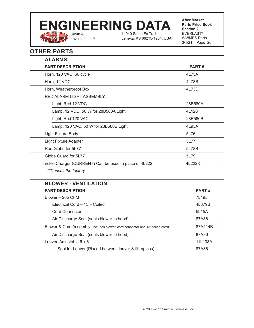# Smith & **ENGINEERING DATA**

Loveless, Inc.®

14040 Santa Fe Trail Lenexa, KS 66215-1234, USA **After Market Parts Price Book Section 2** EVERLAST® WWMPS Parts 3/1/21 Page 26

# **OTHER PARTS**

| <b>ALARMS</b>                                                                |         |
|------------------------------------------------------------------------------|---------|
| <b>PART DESCRIPTION</b>                                                      | PART#   |
| Horn, 120 VAC, 60 cycle                                                      | 4L73A   |
| Horn, 12 VDC.                                                                | 4L73B   |
| Horn, Weatherproof Box                                                       | 4L73D   |
| RED ALARM LIGHT ASSEMBLY:                                                    |         |
| Light, Red 12 VDC                                                            | 28B580A |
| Lamp, 12 VDC, 50 W for 28B580A Light                                         | 4L120   |
| Light, Red 120 VAC                                                           | 28B580B |
| Lamp, 120 VAC, 50 W for 28B580B Light                                        | 4L95A   |
| Light Fixture Body                                                           | 5L76    |
| <b>Light Fixture Adapter</b>                                                 | 5L77    |
| Red Globe for 5L77                                                           | 5L78B   |
| Globe Guard for 5L77                                                         | 5L79    |
| Trickle Charger (CURRENT) Can be used in place of 4L222                      | 4L222K  |
| **Consult the factory.                                                       |         |
| <b>BLOWER - VENTILATION</b>                                                  |         |
| <b>PART DESCRIPTION</b>                                                      | PART#   |
| Blower - 265 CFM                                                             | 7L195   |
| Electrical Cord - 15' - Coiled                                               | 4L379B  |
| <b>Cord Connector</b>                                                        | 5L15A   |
| Air Discharge Seal (seals blower to hood)                                    | 87A86   |
| Blower & Cord Assembly (includes blower, cord connector and 15' coiled cord) | 87A414B |
| Air Discharge Seal (seals blower to hood)                                    | 87A86   |
| Louver, Adjustable 6 x 6                                                     | 11L138A |
| Seal for Louver (Placed between louver & fiberglass)                         | 87A86   |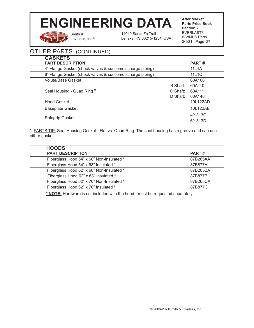Smith & Loveless, Inc.® 14040 Santa Fe Trail Lenexa, KS 66215-1234, USA **After Market Parts Price Book Section 2** EVERLAST® WWMPS Parts 3/1/21 Page 27

# OTHER PARTS (CONTINUED)

| <b>GASKETS</b><br><b>PART DESCRIPTION</b>                  |          | <b>PART#</b> |
|------------------------------------------------------------|----------|--------------|
| 4" Flange Gasket (check valves & suction/discharge piping) |          | 11L1A        |
| 6" Flange Gasket (check valves & suction/discharge piping) |          | <b>11L1C</b> |
| <b>Volute/Base Gasket</b>                                  |          | 60A108       |
|                                                            | B Shaft: | 60A110       |
| Seal Housing - Quad Ring *                                 | C Shaft: | 60A111       |
|                                                            | D Shaft: | 60A146       |
| <b>Hood Gasket</b>                                         |          | 10L122AD     |
| <b>Baseplate Gasket</b>                                    |          | 10L122AB     |
|                                                            |          | $4$ ": 3L3C  |
| Rolagrip Gasket                                            |          | $6$ ": 3L3D  |

\* PARTS TIP: Seal Housing Gasket - Flat vs. Quad Ring. The seal housing has a groove and can use either gasket

| <b>HOODS</b>                              |              |
|-------------------------------------------|--------------|
| <b>PART DESCRIPTION</b>                   | <b>PART#</b> |
| Fiberglass Hood 54" x 68" Non-Insulated * | 87B265AA     |
| Fiberglass Hood 54" x 68" Insulated *     | 87B877A      |
| Fiberglass Hood 62" x 68" Non-Insulated * | 87B265BA     |
| Fiberglass Hood 62" x 68" Insulated *     | 87B877B      |
| Fiberglass Hood 62" x 70" Non-Insulated * | 87B265CA     |
| Fiberglass Hood 62" x 70" Insulated *     | 87B877C      |

**\* NOTE:** Hardware is not included with the hood - must be requested separately.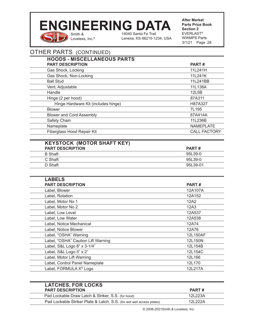Smith & Loveless, Inc.® 14040 Santa Fe Trail Lenexa, KS 66215-1234, USA **After Market Parts Price Book Section 2** EVERLAST® WWMPS Parts 3/1/21 Page 28

## OTHER PARTS (CONTINUED)

| PART#               |
|---------------------|
| 11L241H             |
| 11L241K             |
| 11L241BB            |
| 11L138A             |
| 12L5B               |
| 87A311              |
| H87A327             |
| 7L195               |
| 87A414A             |
| 11L236B             |
| <b>NAMEPLATE</b>    |
| <b>CALL FACTORY</b> |
|                     |

# **KEYSTOCK (MOTOR SHAFT KEY)**

| <b>PART DESCRIPTION</b> | <b>PART#</b> |
|-------------------------|--------------|
| <b>B</b> Shaft          | 95L39-0      |
| C Shaft                 | 95L39-0      |
| D Shaft                 | 95L39-01     |

| <b>LABELS</b>                      |              |
|------------------------------------|--------------|
| <b>PART DESCRIPTION</b>            | <b>PART#</b> |
| Label, Blower                      | 12A107A      |
| Label, Rotation                    | 12A152       |
| Label, Motor No 1                  | 12A2         |
| Label, Motor No 2                  | 12A3         |
| Label, Low Level                   | 12A537       |
| Label, Low Water                   | 12A538       |
| Label, Notice Mechanical           | 12A74        |
| Label, Notice Blower               | 12A76        |
| Label, "OSHA" Warning              | 12L150AF     |
| Label, "OSHA" Caution Lift Warning | 12L150N      |
| Label, S&L Logo 8" x 3-1/4"        | 12L154B      |
| Label, S&L Logo 5" x 2"            | 12L154C      |
| Label, Motor Lift Warning          | 12L166       |
| Label, Control Panel Nameplate     | 12L170       |
| Label, FORMULA X <sup>®</sup> Logo | 12L217A      |
|                                    |              |

| <b>LATCHES, FOR LOCKS</b>                                             |          |
|-----------------------------------------------------------------------|----------|
| <b>PART DESCRIPTION</b>                                               | PART#    |
| Pad Lockable Draw Latch & Striker, S.S. (for hood)                    | 121 223A |
| Pad Lockable Striker Plate & Latch, S.S. (for wet well access plates) | 121 222A |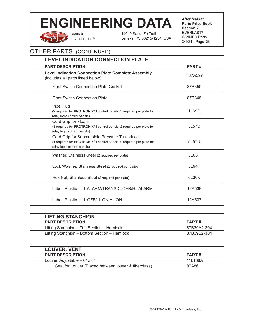Smith & Loveless, Inc.® 14040 Santa Fe Trail Lenexa, KS 66215-1234, USA **After Market Parts Price Book Section 2** EVERLAST® WWMPS Parts 3/1/21 Page 29

| <b>LEVEL INDICATION CONNECTION PLATE</b>                                                                                                              |              |
|-------------------------------------------------------------------------------------------------------------------------------------------------------|--------------|
| <b>PART DESCRIPTION</b>                                                                                                                               | PART#        |
| <b>Level Indication Connection Plate Complete Assembly</b><br>(includes all parts listed below)                                                       | H87A397      |
| <b>Float Switch Connection Plate Gasket</b>                                                                                                           | 87B350       |
| <b>Float Switch Connection Plate</b>                                                                                                                  | 87B348       |
| Pipe Plug<br>(2 required for PROTRONIX® I control panels, 3 required per plate for<br>relay logic control panels)                                     | 1L69C        |
| Cord Grip for Floats<br>(3 required for PROTRONIX® I control panels, 2 required per plate for<br>relay logic control panels)                          | 5L57C        |
| Cord Grip for Submersible Pressure Transducer<br>(1 required for PROTRONIX® I control panels, 0 required per plate for<br>relay logic control panels) | 5L57N        |
| Washer, Stainless Steel (2 required per plate)                                                                                                        | 6L65F        |
| Lock Washer, Stainless Steel (2 required per plate)                                                                                                   | 6L94F        |
| Hex Nut, Stainless Steel (2 required per plate)                                                                                                       | 6L30K        |
| Label, Plastic - LL ALARM/TRANSDUCER/HL ALARM                                                                                                         | 12A538       |
| Label, Plastic - LL OFF/LL ON/HL ON                                                                                                                   | 12A537       |
| <b>LIFTING STANCHION</b>                                                                                                                              |              |
| <b>PART DESCRIPTION</b>                                                                                                                               | <b>PART#</b> |
| Lifting Stanchion - Top Section - Hemlock                                                                                                             | 87B39A2-304  |
| Lifting Stanchion - Bottom Section - Hemlock                                                                                                          | 87B39B2-304  |

| <b>LOUVER, VENT</b>                                  |         |
|------------------------------------------------------|---------|
| <b>PART DESCRIPTION</b>                              | PART#   |
| Louver, Adjustable $-6$ " x 6"                       | 11L138A |
| Seal for Louver (Placed between louver & fiberglass) | 87A86   |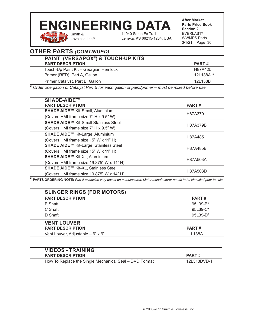# Smith & **ENGINEERING DATA**

14040 Santa Fe Trail Lenexa, KS 66215-1234, USA **After Market Parts Price Book Section 2** EVERLAST® WWMPS Parts 3/1/21 Page 30

# **OTHER PARTS** *(CONTINUED)*

Loveless, Inc.®

| PAINT (VERSAPOX®) & TOUCH-UP KITS     |                 |
|---------------------------------------|-----------------|
| <b>PART DESCRIPTION</b>               | PART#           |
| Touch-Up Paint Kit - Georgian Hemlock | H87A425         |
| Primer (RED), Part A, Gallon          | 12L138A $\star$ |
| Primer Catalyst, Part B, Gallon       | 12L138B         |

**\*** *Order one gallon of Catalyst Part B for each gallon of paint/primer – must be mixed before use.*

| <b>SHADE-AIDE™</b>                           |              |
|----------------------------------------------|--------------|
| <b>PART DESCRIPTION</b>                      | <b>PART#</b> |
| SHADE AIDE™ Kit-Small, Aluminium             | H87A379      |
| (Covers HMI frame size 7" H x 9.5" W)        |              |
| <b>SHADE AIDE™ Kit-Small Stainless Steel</b> |              |
| (Covers HMI frame size 7" H x 9.5" W)        | H87A379B     |
| SHADE AIDE™ Kit-Large, Aluminium             | H87A485      |
| (Covers HMI frame size 15" W x 11" H)        |              |
| SHADE AIDE™ Kit-Large, Stainless Steel       |              |
| (Covers HMI frame size 15" W x 11" H)        | H87A485B     |
| SHADE AIDE™ Kit-XL, Aluminium                |              |
| (Covers HMI frame size 19.875" W x 14" H)    | H87A503A     |
| SHADE AIDE™ Kit-XL, Stainless Steel          | H87A503D     |
| (Covers HMI frame size 19.875" W x 14" H)    |              |

**\* PARTS ORDERING NOTE:** *Part # extension vary based on manufacturer. Motor manufacturer needs to be identified prior to sale.* 

| <b>SLINGER RINGS (FOR MOTORS)</b> |              |
|-----------------------------------|--------------|
| <b>PART DESCRIPTION</b>           | <b>PART#</b> |
| <b>B</b> Shaft                    | 95L39-B*     |
| C Shaft                           | 95L39-C*     |
| D Shaft                           | $95L39-D*$   |
| <b>VENT LOUVER</b>                |              |
| <b>PART DESCRIPTION</b>           | <b>PART#</b> |
| Vent Louver, Adjustable - 6" x 6" | 11L138A      |

| <b>VIDEOS - TRAINING</b>                               |             |
|--------------------------------------------------------|-------------|
| <b>PART DESCRIPTION</b>                                | PART#       |
| How To Replace the Single Mechanical Seal - DVD Format | 12L318DVD-1 |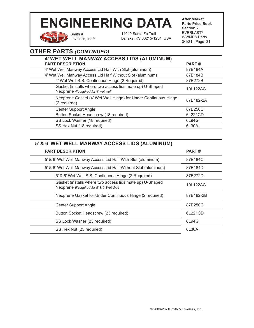Smith & Loveless, Inc.® 14040 Santa Fe Trail Lenexa, KS 66215-1234, USA **After Market Parts Price Book Section 2** EVERLAST® WWMPS Parts 3/1/21 Page 31

# **OTHER PARTS** *(CONTINUED)*

| 4' WET WELL MANWAY ACCESS LIDS (ALUMINUM)                                                        |              |
|--------------------------------------------------------------------------------------------------|--------------|
| <b>PART DESCRIPTION</b>                                                                          | <b>PART#</b> |
| 4' Wet Well Manway Access Lid Half With Slot (aluminum)                                          | 87B184A      |
| 4' Wet Well Manway Access Lid Half Without Slot (aluminum)                                       | 87B184B      |
| 4' Wet Well S.S. Continuous Hinge (2 Required)                                                   | 87B272B      |
| Gasket (installs where two access lids mate up) U-Shaped<br>Neoprene 4' required for 4' wet well | 10L122AC     |
| Neoprene Gasket (4' Wet Well Hinge) for Under Continuous Hinge<br>(2 required)                   | 87B182-2A    |
| <b>Center Support Angle</b>                                                                      | 87B250C      |
| Button Socket Headscrew (18 required)                                                            | 6L221CD      |
| SS Lock Washer (18 required)                                                                     | 6L94G        |
| SS Hex Nut (18 required)                                                                         | 6L30A        |

### **5' & 6' WET WELL MANWAY ACCESS LIDS (ALUMINUM)**

| <b>PART DESCRIPTION</b>                                                                               | <b>PART#</b> |
|-------------------------------------------------------------------------------------------------------|--------------|
| 5' & 6' Wet Well Manway Access Lid Half With Slot (aluminum)                                          | 87B184C      |
| 5' & 6' Wet Well Manway Access Lid Half Without Slot (aluminum)                                       | 87B184D      |
| 5' & 6' Wet Well S.S. Continuous Hinge (2 Required)                                                   | 87B272D      |
| Gasket (installs where two access lids mate up) U-Shaped<br>Neoprene 5' required for 5' & 6' Wet Well | 10L122AC     |
| Neoprene Gasket for Under Continuous Hinge (2 required)                                               | 87B182-2B    |
| <b>Center Support Angle</b>                                                                           | 87B250C      |
| Button Socket Headscrew (23 required)                                                                 | 6L221CD      |
| SS Lock Washer (23 required)                                                                          | 6L94G        |
| SS Hex Nut (23 required)                                                                              | 6L30A        |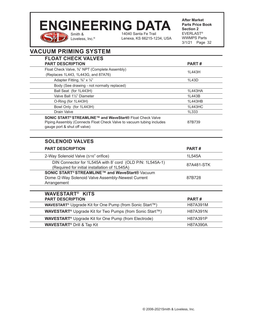# Smith & **ENGINEERING DATA**

Loveless, Inc.®

14040 Santa Fe Trail Lenexa, KS 66215-1234, USA **After Market Parts Price Book Section 2** EVERLAST® WWMPS Parts 3/1/21 Page 32

| <b>VACUUM PRIMING SYSTEM</b> |  |
|------------------------------|--|
| FI OAT CHECK VAI VES         |  |

l,

| <b>FLOAT CHECK VALVES</b>                                                                                  |            |
|------------------------------------------------------------------------------------------------------------|------------|
| <b>PART DESCRIPTION</b>                                                                                    | PART#      |
| Float Check Valve, 3%" NPT (Complete Assembly)                                                             | 1L443H     |
| (Replaces 1L443, 1L443G, and 87A76)                                                                        |            |
| Adapter Fitting, 3/8" x 1/4"                                                                               | 1L43D      |
| Body (See drawing - not normally replaced)                                                                 |            |
| Ball Seat (for 1L443H)                                                                                     | 1L443HA    |
| Valve Ball 11/2" Diameter                                                                                  | 1L443B     |
| O-Ring (for 1L443H)                                                                                        | 1L443HB    |
| Bowl Only (for 1L443H)                                                                                     | 1L443HC    |
| Drain Valve                                                                                                | 1L333      |
| SONIC START® STREAMLINE™ and WaveStart® Float Check Valve                                                  |            |
| Piping Assembly (Connects Float Check Valve to vacuum tubing includes                                      | 87B739     |
| gauge port & shut off valve)                                                                               |            |
|                                                                                                            |            |
| <b>SOLENOID VALVES</b>                                                                                     |            |
| <b>PART DESCRIPTION</b>                                                                                    | PART#      |
| 2-Way Solenoid Valve (5/16" orifice)                                                                       | 1L545A     |
| DIN Connector for 1L545A with 8' cord (OLD P/N: 1L545A-1)<br>(Required for initial installation of 1L545A) | 87A481-STK |
| <b>SONIC START<sup>®</sup> STREAMLINE™ and WaveStart®</b> Vacuum                                           |            |
| Dome /2-Way Solenoid Valve Assembly-Newest Current                                                         | 87B728     |
| Arrangement                                                                                                |            |
|                                                                                                            |            |
| <b>WAVESTART<sup>®</sup> KITS</b>                                                                          |            |
| <b>PART DESCRIPTION</b>                                                                                    | PART#      |
| <b>WAVESTART<sup>®</sup></b> Upgrade Kit for One Pump (from Sonic Start™)                                  | H87A391M   |
| <b>WAVESTART<sup>®</sup></b> Upgrade Kit for Two Pumps (from Sonic Start™)                                 | H87A391N   |
| <b>WAVESTART<sup>®</sup></b> Upgrade Kit for One Pump (from Electrode)                                     | H87A391P   |
| <b>WAVESTART<sup>®</sup> Drill &amp; Tap Kit</b>                                                           | H87A390A   |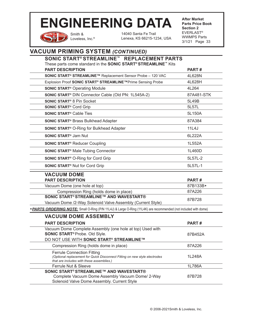Smith & Loveless, Inc.® 14040 Santa Fe Trail Lenexa, KS 66215-1234, USA **After Market Parts Price Book Section 2** EVERLAST® WWMPS Parts 3/1/21 Page 33

# **VACUUM PRIMING SYSTEM** *(CONTINUED)*

| SONIC START® STREAMLINE™ REPLACEMENT PARTS<br>These parts come standard in the <b>SONIC START<sup>®</sup> STREAMLINE</b> ™ Kits                                                                        |                  |
|--------------------------------------------------------------------------------------------------------------------------------------------------------------------------------------------------------|------------------|
| <b>PART DESCRIPTION</b>                                                                                                                                                                                | PART#            |
| SONIC START® STREAMLINE™ Replacement Sensor Probe - 120 VAC                                                                                                                                            | 4L628N           |
| Explosion Proof SONIC START <sup>®</sup> STREAMLINE™Prime Sensing Probe                                                                                                                                | 4L628H           |
| <b>SONIC START<sup>®</sup></b> Operating Module                                                                                                                                                        | 4L264            |
| SONIC START <sup>®</sup> DIN Connector Cable (Old PN: 1L545A-2)                                                                                                                                        | 87A481-STK       |
| <b>SONIC START<sup>®</sup> 8 Pin Socket</b>                                                                                                                                                            | 5L49B            |
| <b>SONIC START<sup>®</sup> Cord Grip</b>                                                                                                                                                               | 5L57L            |
| <b>SONIC START<sup>®</sup> Cable Ties</b>                                                                                                                                                              | 5L150A           |
| <b>SONIC START<sup>®</sup> Brass Bulkhead Adapter</b>                                                                                                                                                  | 87A384           |
| <b>SONIC START<sup>®</sup> O-Ring for Bulkhead Adapter</b>                                                                                                                                             | 11L4J            |
| <b>SONIC START<sup>®</sup> Jam Nut</b>                                                                                                                                                                 | 6L222A           |
| <b>SONIC START<sup>®</sup> Reducer Coupling</b>                                                                                                                                                        | 1L552A           |
| <b>SONIC START<sup>®</sup> Male Tubing Connector</b>                                                                                                                                                   | 1L460D           |
| <b>SONIC START<sup>®</sup> O-Ring for Cord Grip</b>                                                                                                                                                    | 5L57L-2          |
| <b>SONIC START<sup>®</sup> Nut for Cord Grip</b>                                                                                                                                                       | 5L57L-1          |
| <b>VACUUM DOME</b>                                                                                                                                                                                     |                  |
|                                                                                                                                                                                                        |                  |
| <b>PART DESCRIPTION</b>                                                                                                                                                                                | PART#            |
| Vacuum Dome (one hole at top)                                                                                                                                                                          | 87B133B*         |
| Compression Ring (holds dome in place)                                                                                                                                                                 | 87A226           |
| <b>SONIC START<sup>®</sup> STREAMLINE™ AND WAVESTART®</b>                                                                                                                                              | 87B728           |
| Vacuum Dome /2-Way Solenoid Valve Assembly (Current Style)                                                                                                                                             |                  |
| * <b>PARTS ORDERING NOTE:</b> Small O-Ring (P/N 11L4J) & Large O-Ring (11L4K) are recommended (not included with dome)                                                                                 |                  |
| <b>VACUUM DOME ASSEMBLY</b><br><b>PART DESCRIPTION</b>                                                                                                                                                 | PART#            |
| Vacuum Dome Complete Assembly (one hole at top) Used with<br><b>SONIC START<sup>®</sup> Probe. Old Slyle.</b>                                                                                          | 87B452A          |
| DO NOT USE WITH SONIC START® STREAMLINE™                                                                                                                                                               |                  |
| Compression Ring (holds dome in place)<br><b>Ferrule Connection Fitting</b><br>(Optional replacement for Quick Disconnect Fitting on new style electrodes<br>that are includes with these assemblies.) | 87A226<br>1L248A |
| Ferrule Nut & Sleeve<br><b>SONIC START<sup>®</sup> STREAMLINE™ AND WAVESTART®</b>                                                                                                                      | 1L786A           |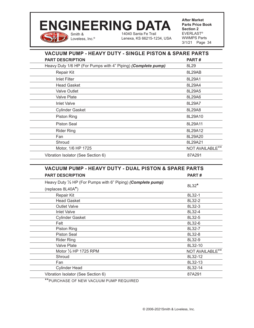# Smith & **ENGINEERING DATA**

Loveless, Inc.®

14040 Santa Fe Trail Lenexa, KS 66215-1234, USA **After Market Parts Price Book Section 2** EVERLAST® WWMPS Parts 3/1/21 Page 34

| <b>VACUUM PUMP - HEAVY DUTY - SINGLE PISTON &amp; SPARE PARTS</b> |                 |
|-------------------------------------------------------------------|-----------------|
| <b>PART DESCRIPTION</b>                                           | PART#           |
| Heavy Duty 1/6 HP (For Pumps with 4" Piping) (Complete pump)      | 8L29            |
| Repair Kit                                                        | 8L29AB          |
| <b>Inlet Filter</b>                                               | 8L29A1          |
| <b>Head Gasket</b>                                                | 8L29A4          |
| <b>Valve Outlet</b>                                               | 8L29A5          |
| Valve Plate                                                       | 8L29A6          |
| <b>Inlet Valve</b>                                                | 8L29A7          |
| <b>Cylinder Gasket</b>                                            | 8L29A8          |
| <b>Piston Ring</b>                                                | 8L29A10         |
| Piston Seal                                                       | 8L29A11         |
| <b>Rider Ring</b>                                                 | 8L29A12         |
| Fan                                                               | 8L29A20         |
| Shroud                                                            | 8L29A21         |
| Motor, 1/6 HP 1725                                                | NOT AVAILABLE** |
| Vibration Isolator (See Section 6)                                | 87A291          |

| <b>VACUUM PUMP - HEAVY DUTY - DUAL PISTON &amp; SPARE PARTS</b>        |                 |
|------------------------------------------------------------------------|-----------------|
| <b>PART DESCRIPTION</b>                                                | PART#           |
| Heavy Duty $\frac{1}{2}$ HP (For Pumps with 6" Piping) (Complete pump) | 8L32*           |
| (replaces 8L40A*)                                                      |                 |
| Repair Kit                                                             | 8L32-1          |
| <b>Head Gasket</b>                                                     | 8L32-2          |
| <b>Outlet Valve</b>                                                    | 8L32-3          |
| <b>Inlet Valve</b>                                                     | 8L32-4          |
| <b>Cylinder Gasket</b>                                                 | 8L32-5          |
| Felt                                                                   | 8L32-6          |
| <b>Piston Ring</b>                                                     | 8L32-7          |
| <b>Piston Seal</b>                                                     | 8L32-8          |
| <b>Rider Ring</b>                                                      | 8L32-9          |
| <b>Valve Plate</b>                                                     | 8L32-10         |
| Motor 1/2 HP 1725 RPM                                                  | NOT AVAILABLE** |
| Shroud                                                                 | 8L32-12         |
| Fan                                                                    | 8L32-13         |
| <b>Cylinder Head</b>                                                   | 8L32-14         |
| Vibration Isolator (See Section 6)                                     | 87A291          |

\*\*PURCHASE OF NEW VACUUM PUMP REQUIRED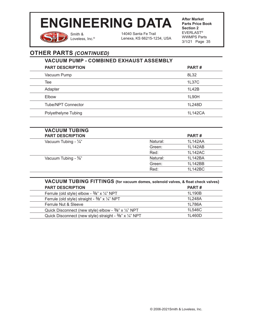Smith & Loveless, Inc.®

14040 Santa Fe Trail Lenexa, KS 66215-1234, USA **After Market Parts Price Book Section 2** EVERLAST® WWMPS Parts 3/1/21 Page 35

# **OTHER PARTS** *(CONTINUED)*

| <b>VACUUM PUMP - COMBINED EXHAUST ASSEMBLY</b> |         |
|------------------------------------------------|---------|
| <b>PART DESCRIPTION</b>                        | PART#   |
| Vacuum Pump                                    | 8L32    |
| Tee                                            | 1L37C   |
| Adapter                                        | 1L42B   |
| Elbow                                          | 1L90H   |
| Tube/NPT Connector                             | 1L248D  |
| Polyethelyne Tubing                            | 1L142CA |

| <b>VACUUM TUBING</b>            |          |              |  |
|---------------------------------|----------|--------------|--|
| <b>PART DESCRIPTION</b>         |          | <b>PART#</b> |  |
| Vacuum Tubing - $\frac{1}{4}$ " | Natural: | 1L142AA      |  |
|                                 | Green:   | 1L142AB      |  |
|                                 | Red:     | 1L142AC      |  |
| Vacuum Tubing - 3/8"            | Natural: | 1L142BA      |  |
|                                 | Green:   | 1L142BB      |  |
|                                 | Red:     | 1L142BC      |  |
|                                 |          |              |  |

| VACUUM TUBING FITTINGS (for vacuum domes, solenoid valves, & float check valves) |        |
|----------------------------------------------------------------------------------|--------|
| <b>PART DESCRIPTION</b>                                                          | PART#  |
| Ferrule (old style) elbow - $\frac{3}{8}$ " x $\frac{1}{4}$ " NPT                | 1L190B |
| Ferrule (old style) straight - 3/8" x 1/4" NPT                                   | 1L248A |
| Ferrule Nut & Sleeve                                                             | 1L786A |
| Quick Disconnect (new style) elbow - $\frac{3}{8}$ " x $\frac{1}{4}$ " NPT       | 1L546C |
| Quick Disconnect (new style) straight - 3/8" x 1/4" NPT                          | 1L460D |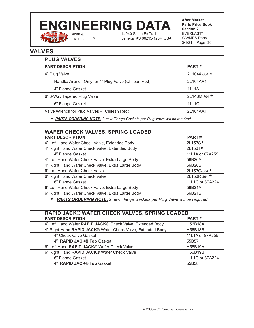### Smith & 14040 Santa Fe Trail **ENGINEERING DATA**

Loveless, Inc.®

 $\mathcal Y$ 

**After Market Parts Price Book Section 2** EVERLAST® WWMPS Parts 3/1/21 Page 36 Lenexa, KS 66215-1234, USA

## **VALVES**

| <b>PLUG VALVES</b> |                                                    |                    |  |
|--------------------|----------------------------------------------------|--------------------|--|
|                    | <b>PART DESCRIPTION</b>                            | PART#              |  |
|                    | 4" Plug Valve                                      | 2L104A-304 $\star$ |  |
|                    | Handle/Wrench Only for 4" Plug Valve (Chilean Red) | 2L104AA1           |  |
|                    | 4" Flange Gasket                                   | 11L1A              |  |
|                    | 6" 3-Way Tapered Plug Valve                        | 2L148M-304 *       |  |
|                    | 6" Flange Gasket                                   | 11L1C              |  |
|                    | Valve Wrench for Plug Valves - (Chilean Red)       | 2L104AA1           |  |
|                    |                                                    |                    |  |

**\*** *PARTS ORDERING NOTE: 2 new Flange Gaskets per Plug Valve will be required.*

| <b>WAFER CHECK VALVES, SPRING LOADED</b>                                                     |                 |
|----------------------------------------------------------------------------------------------|-----------------|
| <b>PART DESCRIPTION</b>                                                                      | PART#           |
| 4" Left Hand Wafer Check Valve, Extended Body                                                | 2L153S*         |
| 4" Right Hand Wafer Check Valve, Extended Body                                               | 2L153T*         |
| 4" Flange Gasket                                                                             | 11L1A or 87A255 |
| 4" Left Hand Wafer Check Valve, Extra Large Body                                             | 56B20A          |
| 4" Right Hand Wafer Check Valve, Extra Large Body                                            | 56B20B          |
| 6" Left Hand Wafer Check Valve                                                               | 2L153Q-304 *    |
| 6" Right Hand Wafer Check Valve                                                              | 2L153R-304 *    |
| 6" Flange Gasket                                                                             | 11L1C or 87A224 |
| 6" Left Hand Wafer Check Valve, Extra Large Body                                             | 56B21A          |
| 6" Right Hand Wafer Check Valve, Extra Large Body                                            | 56B21B          |
| <b>PARTS ORDERING NOTE:</b> 2 new Flange Gaskets per Plug Valve will be required.<br>$\star$ |                 |

| <b>RAPID JACK® WAFER CHECK VALVES, SPRING LOADED</b>       |                 |
|------------------------------------------------------------|-----------------|
| <b>PART DESCRIPTION</b>                                    | PART#           |
| 4" Left Hand Wafer RAPID JACK® Check Valve, Extended Body  | <b>H56B18A</b>  |
| 4" Right Hand RAPID JACK® Wafer Check Valve, Extended Body | <b>H56B18B</b>  |
| 4" Check Valve Gasket                                      | 11L1A or 87A255 |
| 4" RAPID JACK® Top Gasket                                  | 55B57           |
| 6" Left Hand RAPID JACK® Wafer Check Valve                 | <b>H56B19A</b>  |
| 6" Right Hand RAPID JACK® Wafer Check Valve                | <b>H56B19B</b>  |
| 6" Flange Gasket                                           | 11L1C or 87A224 |
| 4" RAPID JACK® Top Gasket                                  | 55B58           |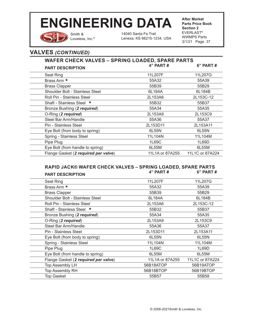

Smith & Loveless, Inc.®

14040 Santa Fe Trail Lenexa, KS 66215-1234, USA **After Market Parts Price Book Section 2** EVERLAST® WWMPS Parts 3/1/21 Page 37

### **VALVES** *(CONTINUED)*

### **WAFER CHECK VALVES – SPRING LOADED, SPARE PARTS PART DESCRIPTION 4" PART # 6" PART #**

| Seat Ring                            | 11L207F         | 11L207G         |
|--------------------------------------|-----------------|-----------------|
| Brass Arm *                          | 55A32           | 55A39           |
| <b>Brass Clapper</b>                 | 55B39           | 55B29           |
| Shoulder Bolt - Stainless Steel      | 6L184A          | 6L184B          |
| Roll Pin - Stainless Steel           | 2L153A6         | 2L153C-12       |
| Shaft - Stainless Steel *            | 55B32           | 55B37           |
| Bronze Bushing (2 required)          | 55A34           | 55A35           |
| O-Ring (2 required)                  | 2L153A9         | 2L153C9         |
| Steel Bar Arm/Handle                 | 55A36           | 55A37           |
| Pin - Stainless Steel                | 2L153D11        | 2L153A11        |
| Eye Bolt (from body to spring)       | 6L55N           | 6L55N           |
| Spring - Stainless Steel             | 11L104N         | 11L104M         |
| Pipe Plug                            | 1L69C           | 1L69D           |
| Eye Bolt (from handle to spring)     | 6L55M           | 6L55M           |
| Flange Gasket (2 required per valve) | 11L1A or 87A255 | 11L1C or 87A224 |
|                                      |                 |                 |

### **RAPID JACK® WAFER CHECK VALVES – SPRING LOADED, SPARE PARTS PART DESCRIPTION**

| Seat Ring                            | 11L207F         | 11L207G         |
|--------------------------------------|-----------------|-----------------|
| Brass Arm *                          | 55A32           | 55A39           |
| <b>Brass Clapper</b>                 | 55B39           | 55B29           |
| Shoulder Bolt - Stainless Steel      | 6L184A          | 6L184B          |
| Roll Pin - Stainless Steel           | 2L153A6         | 2L153C-12       |
| Shaft - Stainless Steel *            | 55B32           | 55B37           |
| Bronze Bushing (2 required)          | 55A34           | 55A35           |
| O-Ring (2 required)                  | 2L153A9         | 2L153C9         |
| Steel Bar Arm/Handle                 | 55A36           | 55A37           |
| Pin - Stainless Steel                | 2L153D11        | 2L153A11        |
| Eye Bolt (from body to spring)       | 6L55N           | 6L55N           |
| Spring - Stainless Steel             | 11L104N         | 11L104M         |
| Pipe Plug                            | 1L69C           | 1L69D           |
| Eye Bolt (from handle to spring)     | 6L55M           | 6L55M           |
| Flange Gasket (2 required per valve) | 11L1A or 87A255 | 11L1C or 87A224 |
| <b>Top Assembly LH</b>               | 56B18ATOP       | 56B19ATOP       |
| Top Assembly RH                      | 56B18BTOP       | 56B19BTOP       |
| <b>Top Gasket</b>                    | 55B57           | 55B58           |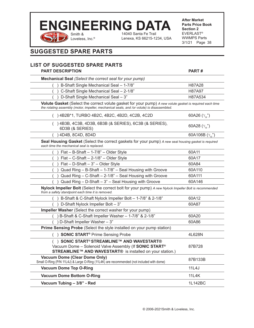

14040 Santa Fe Trail Lenexa, KS 66215-1234, USA **After Market Parts Price Book Section 2** EVERLAST® WWMPS Parts 3/1/21 Page 38

### **SUGGESTED SPARE PARTS**

#### **LIST OF SUGGESTED SPARE PARTS PART DESCRIPTION PART # Mechanical Seal** *(Select the correct seal for your pump)* B-Shaft Single Mechanical Seal – 1-7/8" https://www.marchive.com/ ( ) C-Shaft Single Mechanical Seal – 2-1/8" H87A97 ( ) D-Shaft Single Mechanical Seal – 3" H87A534 **Volute Gasket** (Select the correct volute gasket for your pump) *A new volute gasket is required each time the rotating assembly (motor, impeller, mechanical seals, and /or volute) is disassembled.* () 4B2B\*1, TURBO 4B2C, 4B2C, 4B2D, 4C2B, 4C2D  $\boldsymbol{\mathcal{F}}^{''}_{_{32}})$ ( ) 4B3B, 4C3B, 4D3B, 6B3B (& SERIES), 6C3B (& SERIES), 6D3B (& SERIES)  $\boldsymbol{\mathcal{F}}^{''}_{_{32}})$ ( ) 4D4B, 8C4D, 8D4D  $\binom{''}{32}$ **Seal Housing Gasket** (Select the correct gaskets for your pump) *A new seal housing gasket is required each time the mechanical seal is replaced.*  $\left( \frac{1}{2} \right)$  Flat – B-Shaft – 1-7/8" – Older Style 60A11  $\vert$  Flat – C-Shaft – 2-1/8" – Older Style 60A17  $\left( \frac{1}{100}\right)$  Flat – D-Shaft – 3" – Older Style 60A84  $( )$  Quad Ring – B-Shaft – 1-7/8" – Seal Housing with Groove 60A110 ( ) Quad Ring – C-Shaft – 2-1/8" – Seal Housing with Groove 60A111 ( ) Quad Ring – D-Shaft – 3" – Seal Housing with Groove 60A146 **Nylock Impeller Bolt** (Select the correct bolt for your pump) *A new Nylock Impeller Bolt is recommended from a safety standpoint each time it is removed.* ( ) B-Shaft & C-Shaft Nylock Impeller Bolt – 1-7/8" & 2-1/8" 60A12 ( ) D-Shaft Nylock Impeller Bolt – 3" 60A87 **Impeller Washer** (Select the correct washer for your pump) ( ) B-Shaft & C-Shaft Impeller Washer – 1-7/8" & 2-1/8" 60A20 ( ) D-Shaft Impeller Washer – 3" 60A86 **Prime Sensing Probe** (Select the style installed on your pump station) ( ) **SONIC START<sup>®</sup> Prime Sensing Probe** 4L628N ( ) **SONIC START® STREAMLINE™ AND WAVESTART®**  Vacuum Dome – Solenoid Valve Assembly (If **SONIC START® STREAMLINE™ AND WAVESTART®** is installed on your station.) 87B728 **Vacuum Dome (Clear Dome Only) VACUUTH DOTHE (CHEAT DOTHE OTHY)**<br>
Small O-Ring (P/N 11L4J) & Large O-Ring (11L4K) are recommended (not included with dome) **Vacuum Dome Top O-Ring 11L4J**

**Vacuum Dome Bottom O-Ring 1124K** 11L4K **Vacuum Tubing – 3/8" - Red** 1L142BC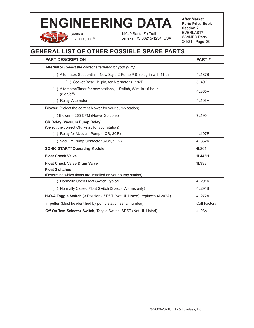Smith & Loveless, Inc.®

14040 Santa Fe Trail Lenexa, KS 66215-1234, USA **After Market Parts Price Book Section 2** EVERLAST® WWMPS Parts 3/1/21 Page 39

# **GENERAL LIST OF OTHER POSSIBLE SPARE PARTS**

| <b>PART DESCRIPTION</b>                                                                 | PART#        |
|-----------------------------------------------------------------------------------------|--------------|
| Alternator (Select the correct alternator for your pump)                                |              |
| () Alternator, Sequential - New Style 2-Pump P.S. (plug-in with 11 pin)                 | 4L187B       |
| () Socket Base, 11 pin, for Alternator 4L187B                                           | 5L49C        |
| () Alternator/Timer for new stations, 1 Switch, Wire-In 16 hour<br>$(8 \text{ on/off})$ | 4L365A       |
| () Relay, Alternator                                                                    | 4L105A       |
| <b>Blower</b> (Select the correct blower for your pump station)                         |              |
| () Blower – 265 CFM (Newer Stations)                                                    | 7L195        |
| <b>CR Relay (Vacuum Pump Relay)</b><br>(Select the correct CR Relay for your station)   |              |
| () Relay for Vacuum Pump (1CR, 2CR)                                                     | 4L107F       |
| () Vacuum Pump Contactor (VC1, VC2)                                                     | 4L862A       |
| <b>SONIC START<sup>®</sup> Operating Module</b>                                         | 4L264        |
| <b>Float Check Valve</b>                                                                | 1L443H       |
| <b>Float Check Valve Drain Valve</b>                                                    | 1L333        |
| <b>Float Switches</b><br>(Determine which floats are installed on your pump station)    |              |
| () Normally Open Float Switch (typical)                                                 | 4L291A       |
| () Normally Closed Float Switch (Special Alarms only)                                   | 4L291B       |
| H-O-A Toggle Switch (3 Position), SPST (Not UL Listed) (replaces 4L207A)                | 4L272A       |
| Impeller (Must be identified by pump station serial number)                             | Call Factory |
| Off-On Test Selector Switch, Toggle Switch, SPST (Not UL Listed)                        | 4L23A        |